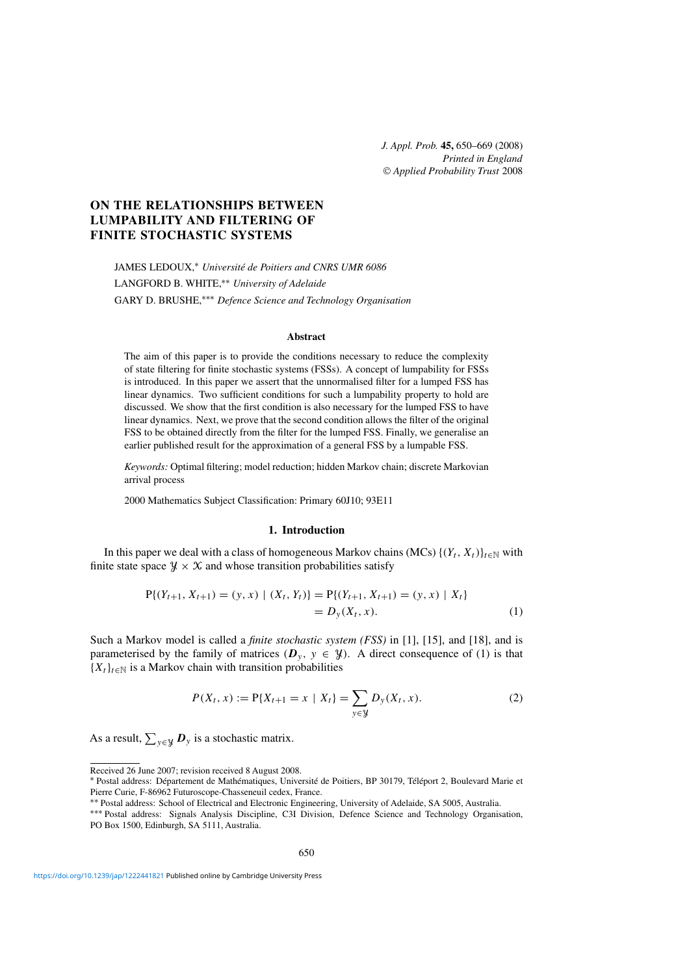*J. Appl. Prob.* **45,** 650–669 (2008) *Printed in England* © *Applied Probability Trust* 2008

# **ON THE RELATIONSHIPS BETWEEN LUMPABILITY AND FILTERING OF FINITE STOCHASTIC SYSTEMS**

JAMES LEDOUX,<sup>∗</sup> *Université de Poitiers and CNRS UMR 6086* LANGFORD B. WHITE,∗∗ *University of Adelaide* GARY D. BRUSHE,∗∗∗ *Defence Science and Technology Organisation*

# **Abstract**

The aim of this paper is to provide the conditions necessary to reduce the complexity of state filtering for finite stochastic systems (FSSs). A concept of lumpability for FSSs is introduced. In this paper we assert that the unnormalised filter for a lumped FSS has linear dynamics. Two sufficient conditions for such a lumpability property to hold are discussed. We show that the first condition is also necessary for the lumped FSS to have linear dynamics. Next, we prove that the second condition allows the filter of the original FSS to be obtained directly from the filter for the lumped FSS. Finally, we generalise an earlier published result for the approximation of a general FSS by a lumpable FSS.

*Keywords:* Optimal filtering; model reduction; hidden Markov chain; discrete Markovian arrival process

2000 Mathematics Subject Classification: Primary 60J10; 93E11

## **1. Introduction**

In this paper we deal with a class of homogeneous Markov chains (MCs)  $\{(Y_t, X_t)\}_{t\in\mathbb{N}}$  with finite state space  $\mathcal{Y} \times \mathcal{X}$  and whose transition probabilities satisfy

$$
P\{(Y_{t+1}, X_{t+1}) = (y, x) | (X_t, Y_t)\} = P\{(Y_{t+1}, X_{t+1}) = (y, x) | X_t\}
$$
  
=  $D_y(X_t, x).$  (1)

Such a Markov model is called a *finite stochastic system (FSS)* in [1], [15], and [18], and is parameterised by the family of matrices  $(D_y, y \in \mathcal{Y})$ . A direct consequence of (1) is that  ${X_t}_{t\in\mathbb{N}}$  is a Markov chain with transition probabilities

$$
P(X_t, x) := P\{X_{t+1} = x \mid X_t\} = \sum_{y \in \mathcal{Y}} D_y(X_t, x). \tag{2}
$$

As a result,  $\sum_{y \in \mathcal{Y}} D_y$  is a stochastic matrix.

Received 26 June 2007; revision received 8 August 2008.

<sup>∗</sup> Postal address: Département de Mathématiques, Université de Poitiers, BP 30179, Téléport 2, Boulevard Marie et Pierre Curie, F-86962 Futuroscope-Chasseneuil cedex, France.

<sup>∗∗</sup> Postal address: School of Electrical and Electronic Engineering, University of Adelaide, SA 5005, Australia. ∗∗∗ Postal address: Signals Analysis Discipline, C3I Division, Defence Science and Technology Organisation, PO Box 1500, Edinburgh, SA 5111, Australia.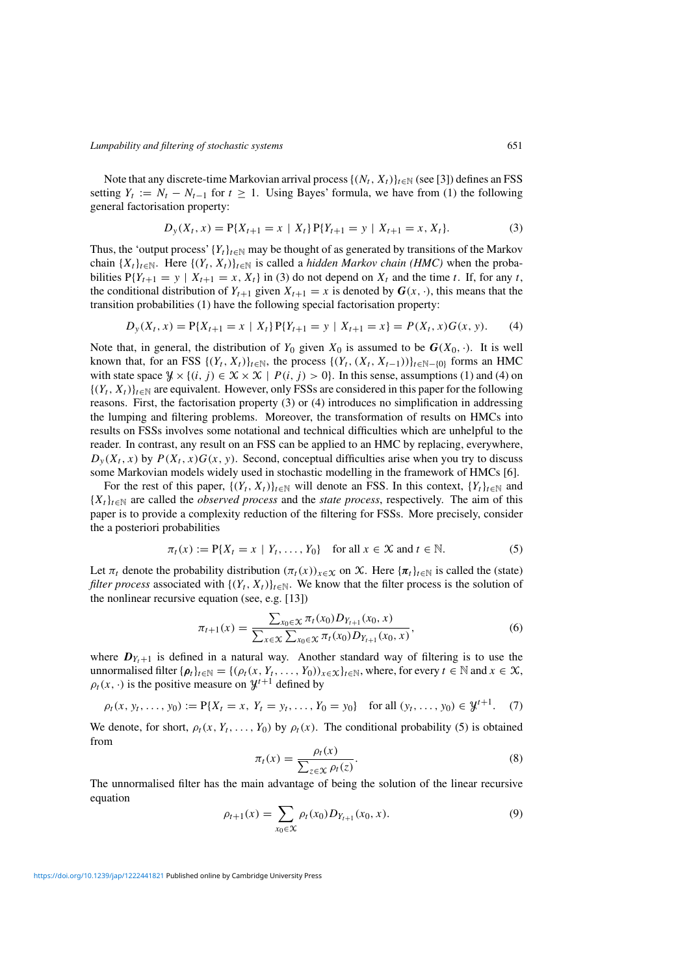Note that any discrete-time Markovian arrival process  $\{(N_t, X_t)\}_{t\in\mathbb{N}}$  (see [3]) defines an FSS setting  $Y_t := N_t - N_{t-1}$  for  $t \ge 1$ . Using Bayes' formula, we have from (1) the following general factorisation property:

$$
D_{y}(X_{t}, x) = P\{X_{t+1} = x \mid X_{t}\} P\{Y_{t+1} = y \mid X_{t+1} = x, X_{t}\}.
$$
\n(3)

Thus, the 'output process'  ${Y_t}_{t\in\mathbb{N}}$  may be thought of as generated by transitions of the Markov chain  $\{X_t\}_{t\in\mathbb{N}}$ . Here  $\{(Y_t, X_t)\}_{t\in\mathbb{N}}$  is called a *hidden Markov chain (HMC)* when the probabilities  $P{Y_{t+1} = y | X_{t+1} = x, X_t}$  in (3) do not depend on  $X_t$  and the time t. If, for any t, the conditional distribution of  $Y_{t+1}$  given  $X_{t+1} = x$  is denoted by  $G(x, \cdot)$ , this means that the transition probabilities (1) have the following special factorisation property:

$$
D_y(X_t, x) = P\{X_{t+1} = x \mid X_t\} P\{Y_{t+1} = y \mid X_{t+1} = x\} = P(X_t, x) G(x, y). \tag{4}
$$

Note that, in general, the distribution of  $Y_0$  given  $X_0$  is assumed to be  $G(X_0, \cdot)$ . It is well known that, for an FSS  $\{(Y_t, X_t)\}_{t\in\mathbb{N}}$ , the process  $\{(Y_t, (X_t, X_{t-1}))\}_{t\in\mathbb{N}-\{0\}}$  forms an HMC with state space  $\mathcal{Y} \times \{(i, j) \in \mathcal{X} \times \mathcal{X} \mid P(i, j) > 0\}$ . In this sense, assumptions (1) and (4) on  $\{(Y_t, X_t)\}_{t \in \mathbb{N}}$  are equivalent. However, only FSSs are considered in this paper for the following reasons. First, the factorisation property (3) or (4) introduces no simplification in addressing the lumping and filtering problems. Moreover, the transformation of results on HMCs into results on FSSs involves some notational and technical difficulties which are unhelpful to the reader. In contrast, any result on an FSS can be applied to an HMC by replacing, everywhere,  $D_y(X_t, x)$  by  $P(X_t, x)G(x, y)$ . Second, conceptual difficulties arise when you try to discuss some Markovian models widely used in stochastic modelling in the framework of HMCs [6].

For the rest of this paper,  $\{(Y_t, X_t)\}_{t\in\mathbb{N}}$  will denote an FSS. In this context,  $\{Y_t\}_{t\in\mathbb{N}}$  and  ${X_t}_{t\in\mathbb{N}}$  are called the *observed process* and the *state process*, respectively. The aim of this paper is to provide a complexity reduction of the filtering for FSSs. More precisely, consider the a posteriori probabilities

$$
\pi_t(x) := P\{X_t = x \mid Y_t, \dots, Y_0\} \quad \text{for all } x \in \mathcal{X} \text{ and } t \in \mathbb{N}.
$$
 (5)

Let  $\pi_t$  denote the probability distribution  $(\pi_t(x))_{x \in \mathcal{X}}$  on X. Here  $\{\pi_t\}_{t \in \mathbb{N}}$  is called the (state) *filter process* associated with  $\{(Y_t, X_t)\}_{t \in \mathbb{N}}$ . We know that the filter process is the solution of the nonlinear recursive equation (see, e.g. [13])

$$
\pi_{t+1}(x) = \frac{\sum_{x_0 \in \mathcal{X}} \pi_t(x_0) D_{Y_{t+1}}(x_0, x)}{\sum_{x \in \mathcal{X}} \sum_{x_0 \in \mathcal{X}} \pi_t(x_0) D_{Y_{t+1}}(x_0, x)},\tag{6}
$$

where  $D_{Y_t+1}$  is defined in a natural way. Another standard way of filtering is to use the unnormalised filter { $\rho_t|_{t \in \mathbb{N}} = \{(\rho_t(x, Y_t, \dots, Y_0))_{x \in \mathcal{X}}\}_{t \in \mathbb{N}}$ , where, for every  $t \in \mathbb{N}$  and  $x \in \mathcal{X}$ ,  $\rho_t(x, \cdot)$  is the positive measure on  $\mathcal{Y}^{t+1}$  defined by

 $\rho_t(x, y_t, \ldots, y_0) := P\{X_t = x, Y_t = y_t, \ldots, Y_0 = y_0\}$  for all  $(y_t, \ldots, y_0) \in \mathcal{Y}^{t+1}$ . (7)

We denote, for short,  $\rho_t(x, Y_t, \ldots, Y_0)$  by  $\rho_t(x)$ . The conditional probability (5) is obtained from

$$
\pi_t(x) = \frac{\rho_t(x)}{\sum_{z \in \mathcal{X}} \rho_t(z)}.
$$
\n(8)

The unnormalised filter has the main advantage of being the solution of the linear recursive equation

$$
\rho_{t+1}(x) = \sum_{x_0 \in \mathcal{X}} \rho_t(x_0) D_{Y_{t+1}}(x_0, x). \tag{9}
$$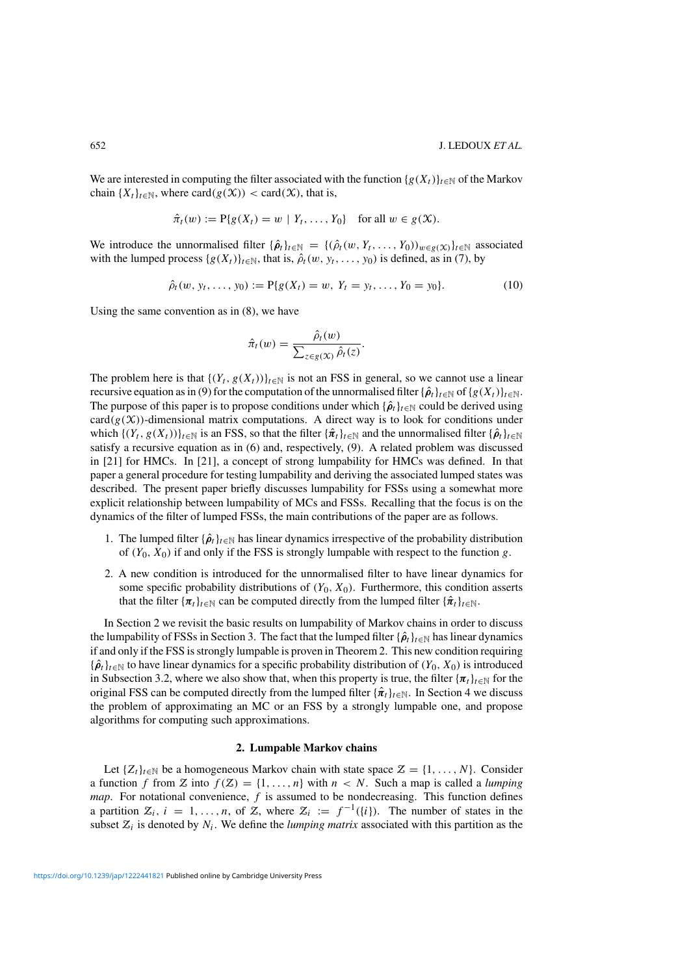We are interested in computing the filter associated with the function  $\{g(X_t)\}_{t\in\mathbb{N}}$  of the Markov chain  ${X_t}_{t \in \mathbb{N}}$ , where card $(g(\mathcal{X})) <$  card $(\mathcal{X})$ , that is,

$$
\hat{\pi}_t(w) := \mathbb{P}\{g(X_t) = w \mid Y_t, \dots, Y_0\} \quad \text{for all } w \in g(\mathcal{X}).
$$

We introduce the unnormalised filter  $\{\hat{\rho}_t\}_{t\in\mathbb{N}} = \{(\hat{\rho}_t(w, Y_t, \dots, Y_0))_{w \in g(\mathcal{X})}\}_{t\in\mathbb{N}}$  associated with the lumped process  $\{g(X_t)\}_{t\in\mathbb{N}}$ , that is,  $\hat{\rho}_t(w, y_t, \ldots, y_0)$  is defined, as in (7), by

$$
\hat{\rho}_t(w, y_t, \dots, y_0) := P\{g(X_t) = w, Y_t = y_t, \dots, Y_0 = y_0\}.
$$
\n(10)

Using the same convention as in (8), we have

$$
\hat{\pi}_t(w) = \frac{\hat{\rho}_t(w)}{\sum_{z \in g(x)} \hat{\rho}_t(z)}.
$$

The problem here is that  $\{(Y_t, g(X_t))\}_{t\in\mathbb{N}}$  is not an FSS in general, so we cannot use a linear recursive equation as in (9) for the computation of the unnormalised filter  $\{\hat{\rho}_t\}_{t\in\mathbb{N}}$  of  $\{g(X_t)\}_{t\in\mathbb{N}}$ . The purpose of this paper is to propose conditions under which  $\{\hat{\rho}_t\}_{t\in\mathbb{N}}$  could be derived using  $card(g(\mathcal{X}))$ -dimensional matrix computations. A direct way is to look for conditions under which  $\{(Y_t, g(X_t))\}_{t\in\mathbb{N}}$  is an FSS, so that the filter  $\{\hat{\pi}_t\}_{t\in\mathbb{N}}$  and the unnormalised filter  $\{\hat{\rho}_t\}_{t\in\mathbb{N}}$ satisfy a recursive equation as in (6) and, respectively, (9). A related problem was discussed in [21] for HMCs. In [21], a concept of strong lumpability for HMCs was defined. In that paper a general procedure for testing lumpability and deriving the associated lumped states was described. The present paper briefly discusses lumpability for FSSs using a somewhat more explicit relationship between lumpability of MCs and FSSs. Recalling that the focus is on the dynamics of the filter of lumped FSSs, the main contributions of the paper are as follows.

- 1. The lumped filter  $\{\hat{\rho}_t\}_{t\in\mathbb{N}}$  has linear dynamics irrespective of the probability distribution of  $(Y_0, X_0)$  if and only if the FSS is strongly lumpable with respect to the function g.
- 2. A new condition is introduced for the unnormalised filter to have linear dynamics for some specific probability distributions of  $(Y_0, X_0)$ . Furthermore, this condition asserts that the filter  $\{\pi_t\}_{t\in\mathbb{N}}$  can be computed directly from the lumped filter  $\{\hat{\pi}_t\}_{t\in\mathbb{N}}$ .

In Section 2 we revisit the basic results on lumpability of Markov chains in order to discuss the lumpability of FSSs in Section 3. The fact that the lumped filter  $\{\hat{\rho}_t\}_{t\in\mathbb{N}}$  has linear dynamics if and only if the FSS is strongly lumpable is proven in Theorem 2. This new condition requiring  ${\{\hat{\rho}_t\}}_{t\in\mathbb{N}}$  to have linear dynamics for a specific probability distribution of  $(Y_0, X_0)$  is introduced in Subsection 3.2, where we also show that, when this property is true, the filter  ${\{\pi_t\}}_{t\in\mathbb{N}}$  for the original FSS can be computed directly from the lumped filter  $\{\hat{\pi}_t\}_{t \in \mathbb{N}}$ . In Section 4 we discuss the problem of approximating an MC or an FSS by a strongly lumpable one, and propose algorithms for computing such approximations.

# **2. Lumpable Markov chains**

Let  $\{Z_t\}_{t\in\mathbb{N}}$  be a homogeneous Markov chain with state space  $\mathcal{Z} = \{1, \ldots, N\}$ . Consider a function f from Z into  $f(Z) = \{1, ..., n\}$  with  $n < N$ . Such a map is called a *lumping map*. For notational convenience, f is assumed to be nondecreasing. This function defines a partition  $\mathcal{Z}_i$ ,  $i = 1, \ldots, n$ , of  $\mathcal{Z}_i$ , where  $\mathcal{Z}_i := f^{-1}(\{i\})$ . The number of states in the subset  $Z_i$  is denoted by  $N_i$ . We define the *lumping matrix* associated with this partition as the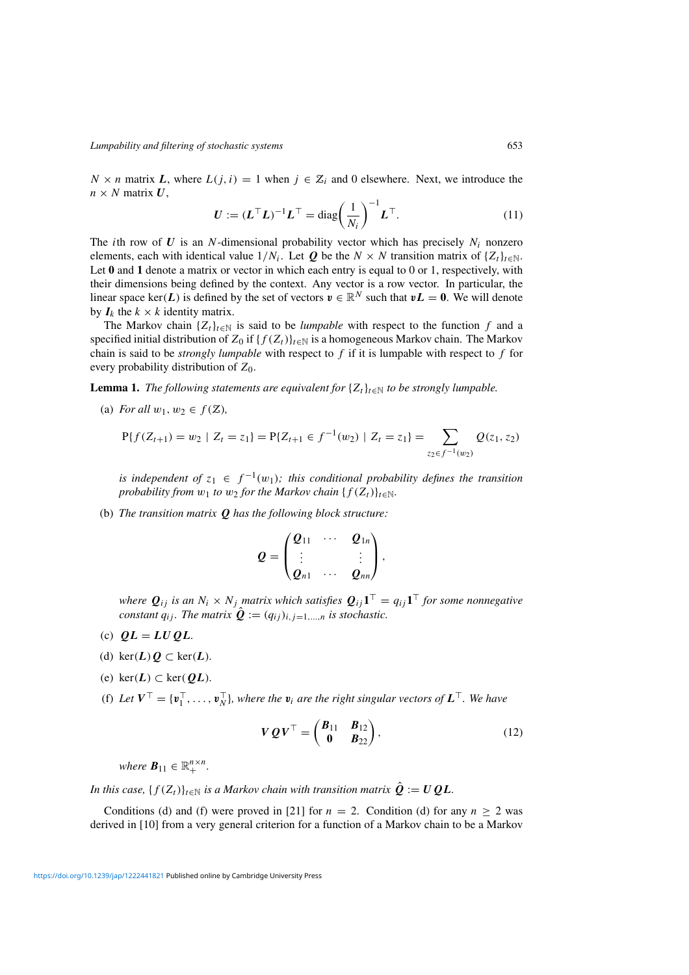$N \times n$  matrix *L*, where  $L(j, i) = 1$  when  $j \in \mathcal{Z}_i$  and 0 elsewhere. Next, we introduce the  $n \times N$  matrix  $U$ ,

$$
\boldsymbol{U} := (\boldsymbol{L}^\top \boldsymbol{L})^{-1} \boldsymbol{L}^\top = \text{diag}\bigg(\frac{1}{N_i}\bigg)^{-1} \boldsymbol{L}^\top. \tag{11}
$$

The *i*th row of  $U$  is an N-dimensional probability vector which has precisely  $N_i$  nonzero elements, each with identical value  $1/N_i$ . Let *Q* be the  $N \times N$  transition matrix of  $\{Z_t\}_{t \in \mathbb{N}}$ . Let **0** and **1** denote a matrix or vector in which each entry is equal to 0 or 1, respectively, with their dimensions being defined by the context. Any vector is a row vector. In particular, the linear space ker(*L*) is defined by the set of vectors  $v \in \mathbb{R}^N$  such that  $vL = 0$ . We will denote by  $I_k$  the  $k \times k$  identity matrix.

The Markov chain  $\{Z_t\}_{t \in \mathbb{N}}$  is said to be *lumpable* with respect to the function f and a specified initial distribution of  $Z_0$  if  $\{f(Z_t)\}_{t\in\mathbb{N}}$  is a homogeneous Markov chain. The Markov chain is said to be *strongly lumpable* with respect to  $f$  if it is lumpable with respect to  $f$  for every probability distribution of  $Z_0$ .

**Lemma 1.** *The following statements are equivalent for*  $\{Z_t\}_{t\in\mathbb{N}}$  *to be strongly lumpable.* 

(a) *For all*  $w_1, w_2 \in f(\mathcal{Z})$ ,

$$
P\{f(Z_{t+1}) = w_2 \mid Z_t = z_1\} = P\{Z_{t+1} \in f^{-1}(w_2) \mid Z_t = z_1\} = \sum_{z_2 \in f^{-1}(w_2)} Q(z_1, z_2)
$$

*is independent of*  $z_1 \in f^{-1}(w_1)$ *; this conditional probability defines the transition probability from*  $w_1$  *to*  $w_2$  *for the Markov chain* { $f(Z_t)$ } $_{t \in \mathbb{N}}$ *.* 

(b) *The transition matrix Q has the following block structure:*

$$
Q=\begin{pmatrix} Q_{11} & \cdots & Q_{1n} \\ \vdots & & \vdots \\ Q_{n1} & \cdots & Q_{nn} \end{pmatrix},
$$

*where*  $Q_{ij}$  *is an*  $N_i \times N_j$  *matrix which satisfies*  $Q_{ij} \mathbf{1}^\top = q_{ij} \mathbf{1}^\top$  *for some nonnegative constant*  $q_{ij}$ *. The matrix*  $\hat{\mathbf{Q}} := (q_{ij})_{i,j=1,\dots,n}$  *is stochastic.* 

- (c)  $QL = LUQL$ .
- (d) ker $(L)$  $Q \subset \text{ker}(L)$ .
- (e) ker $(L) \subset \text{ker}(QL)$ .
- (f) Let  $V^{\top} = \{v_1^{\top}, \ldots, v_N^{\top}\}\$ , where the  $v_i$  are the right singular vectors of  $L^{\top}$ . We have

$$
VQV^{\top} = \begin{pmatrix} B_{11} & B_{12} \\ 0 & B_{22} \end{pmatrix}, \tag{12}
$$

*where*  $\mathbf{B}_{11} \in \mathbb{R}_+^{n \times n}$ *.* 

*In this case,*  $\{f(Z_t)\}_{t\in\mathbb{N}}$  *is a Markov chain with transition matrix*  $\hat{Q} := UQL$ *.* 

Conditions (d) and (f) were proved in [21] for  $n = 2$ . Condition (d) for any  $n \ge 2$  was derived in [10] from a very general criterion for a function of a Markov chain to be a Markov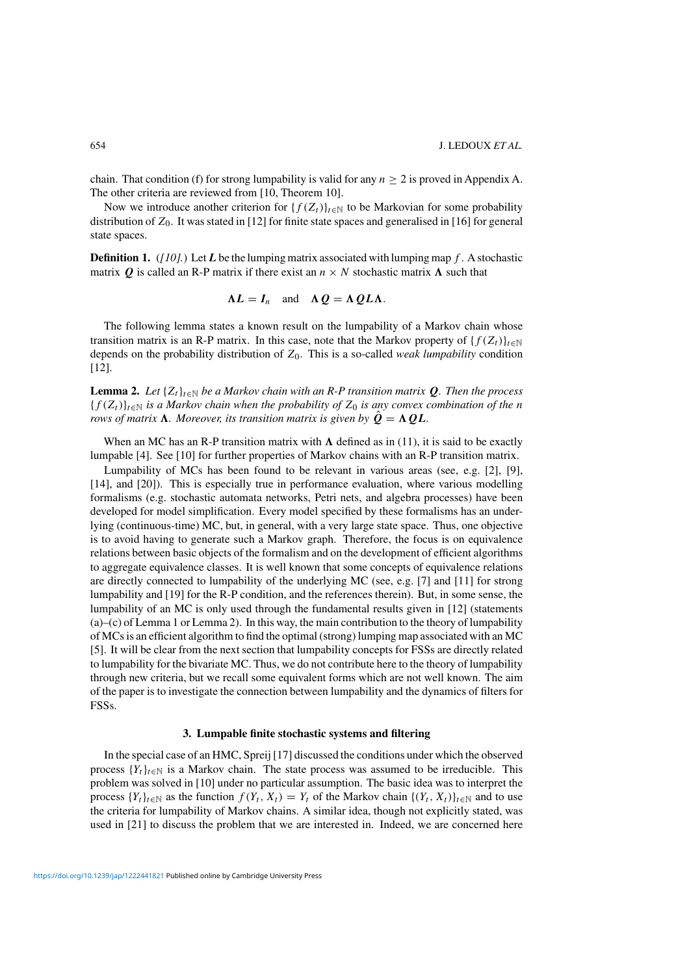chain. That condition (f) for strong lumpability is valid for any  $n \geq 2$  is proved in Appendix A. The other criteria are reviewed from [10, Theorem 10].

Now we introduce another criterion for  $\{f(Z_t)\}_{t\in\mathbb{N}}$  to be Markovian for some probability distribution of  $Z_0$ . It was stated in [12] for finite state spaces and generalised in [16] for general state spaces.

**Definition 1.** ( $[10]$ .) Let *L* be the lumping matrix associated with lumping map f. A stochastic matrix *Q* is called an R-P matrix if there exist an  $n \times N$  stochastic matrix  $\Lambda$  such that

$$
\Lambda L = I_n \quad \text{and} \quad \Lambda Q = \Lambda Q L \Lambda.
$$

The following lemma states a known result on the lumpability of a Markov chain whose transition matrix is an R-P matrix. In this case, note that the Markov property of  $\{f(Z_t)\}_{t\in\mathbb{N}}$ depends on the probability distribution of  $Z_0$ . This is a so-called *weak lumpability* condition [12].

**Lemma 2.** Let  $\{Z_t\}_{t\in\mathbb{N}}$  be a Markov chain with an R-P transition matrix Q. Then the process  ${f (Z_t)}_{t \in \mathbb{N}}$  *is a Markov chain when the probability of*  $Z_0$  *is any convex combination of the n rows of matrix*  $\Lambda$ *. Moreover, its transition matrix is given by*  $\hat{Q} = \Lambda Q L$ *.* 

When an MC has an R-P transition matrix with  $\Lambda$  defined as in (11), it is said to be exactly lumpable [4]. See [10] for further properties of Markov chains with an R-P transition matrix.

Lumpability of MCs has been found to be relevant in various areas (see, e.g. [2], [9], [14], and [20]). This is especially true in performance evaluation, where various modelling formalisms (e.g. stochastic automata networks, Petri nets, and algebra processes) have been developed for model simplification. Every model specified by these formalisms has an underlying (continuous-time) MC, but, in general, with a very large state space. Thus, one objective is to avoid having to generate such a Markov graph. Therefore, the focus is on equivalence relations between basic objects of the formalism and on the development of efficient algorithms to aggregate equivalence classes. It is well known that some concepts of equivalence relations are directly connected to lumpability of the underlying MC (see, e.g. [7] and [11] for strong lumpability and [19] for the R-P condition, and the references therein). But, in some sense, the lumpability of an MC is only used through the fundamental results given in [12] (statements (a)–(c) of Lemma 1 or Lemma 2). In this way, the main contribution to the theory of lumpability of MCs is an efficient algorithm to find the optimal (strong) lumping map associated with an MC [5]. It will be clear from the next section that lumpability concepts for FSSs are directly related to lumpability for the bivariate MC. Thus, we do not contribute here to the theory of lumpability through new criteria, but we recall some equivalent forms which are not well known. The aim of the paper is to investigate the connection between lumpability and the dynamics of filters for FSSs.

## **3. Lumpable finite stochastic systems and filtering**

In the special case of an HMC, Spreij [17] discussed the conditions under which the observed process  ${Y_t}_{t \in \mathbb{N}}$  is a Markov chain. The state process was assumed to be irreducible. This problem was solved in [10] under no particular assumption. The basic idea was to interpret the process  $\{Y_t\}_{t\in\mathbb{N}}$  as the function  $f(Y_t, X_t) = Y_t$  of the Markov chain  $\{(Y_t, X_t)\}_{t\in\mathbb{N}}$  and to use the criteria for lumpability of Markov chains. A similar idea, though not explicitly stated, was used in [21] to discuss the problem that we are interested in. Indeed, we are concerned here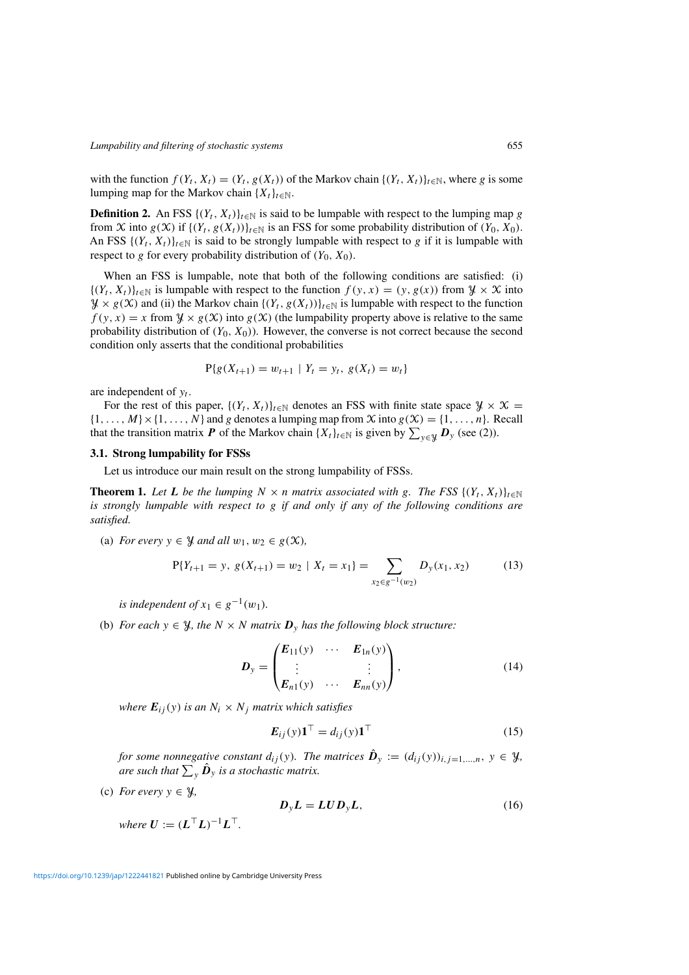with the function  $f(Y_t, X_t) = (Y_t, g(X_t))$  of the Markov chain  $\{(Y_t, X_t)\}_{t \in \mathbb{N}}$ , where g is some lumping map for the Markov chain  $\{X_t\}_{t\in\mathbb{N}}$ .

**Definition 2.** An FSS  $\{(Y_t, X_t)\}_{t \in \mathbb{N}}$  is said to be lumpable with respect to the lumping map g from X into  $g(X)$  if  $\{(Y_t, g(X_t))\}_{t\in\mathbb{N}}$  is an FSS for some probability distribution of  $(Y_0, X_0)$ . An FSS  $\{(Y_t, X_t)\}_{t\in\mathbb{N}}$  is said to be strongly lumpable with respect to g if it is lumpable with respect to g for every probability distribution of  $(Y_0, X_0)$ .

When an FSS is lumpable, note that both of the following conditions are satisfied: (i)  $\{(Y_t, X_t)\}_{t \in \mathbb{N}}$  is lumpable with respect to the function  $f(y, x) = (y, g(x))$  from  $\mathcal{Y} \times \mathcal{X}$  into  $\mathcal{Y} \times g(\mathcal{X})$  and (ii) the Markov chain  $\{(Y_t, g(X_t))\}_{t \in \mathbb{N}}$  is lumpable with respect to the function  $f(y, x) = x$  from  $\mathcal{Y} \times g(\mathcal{X})$  into  $g(\mathcal{X})$  (the lumpability property above is relative to the same probability distribution of  $(Y_0, X_0)$ . However, the converse is not correct because the second condition only asserts that the conditional probabilities

$$
P\{g(X_{t+1}) = w_{t+1} \mid Y_t = y_t, \ g(X_t) = w_t\}
$$

are independent of  $y_t$ .

For the rest of this paper,  $\{(Y_t, X_t)\}_{t\in\mathbb{N}}$  denotes an FSS with finite state space  $\mathcal{Y} \times \mathcal{X} =$  $\{1,\ldots,M\}\times\{1,\ldots,N\}$  and g denotes a lumping map from X into  $g(\mathcal{X}) = \{1,\ldots,n\}$ . Recall that the transition matrix *P* of the Markov chain  $\{X_t\}_{t\in\mathbb{N}}$  is given by  $\sum_{y\in\mathcal{Y}} D_y$  (see (2)).

#### **3.1. Strong lumpability for FSSs**

Let us introduce our main result on the strong lumpability of FSSs.

**Theorem 1.** Let L be the lumping  $N \times n$  matrix associated with g. The FSS  $\{(Y_t, X_t)\}_{t \in \mathbb{N}}$ *is strongly lumpable with respect to* g *if and only if any of the following conditions are satisfied.*

(a) *For every*  $y \in \mathcal{Y}$  *and all*  $w_1, w_2 \in g(\mathcal{X})$ *,* 

$$
P{Y_{t+1} = y, g(X_{t+1}) = w_2 \mid X_t = x_1} = \sum_{x_2 \in g^{-1}(w_2)} D_y(x_1, x_2)
$$
 (13)

*is independent of*  $x_1 \in g^{-1}(w_1)$ *.* 

(b) *For each*  $y \in \mathcal{Y}$ *, the*  $N \times N$  *matrix*  $\mathbf{D}_y$  *has the following block structure:* 

$$
D_{y} = \begin{pmatrix} E_{11}(y) & \cdots & E_{1n}(y) \\ \vdots & & \vdots \\ E_{n1}(y) & \cdots & E_{nn}(y) \end{pmatrix}, \qquad (14)
$$

*where*  $E_{ii}(y)$  *is an*  $N_i \times N_j$  *matrix which satisfies* 

$$
\boldsymbol{E}_{ij}(y)\mathbf{1}^{\top} = d_{ij}(y)\mathbf{1}^{\top}
$$
\n(15)

*for some nonnegative constant*  $d_{ij}(y)$ *. The matrices*  $\hat{\mathbf{D}}_y := (d_{ij}(y))_{i,j=1,\dots,n}$ ,  $y \in \mathcal{Y}$ *,* are such that  $\sum_{\mathbf{y}} \hat{\bm{D}}_{\mathbf{y}}$  is a stochastic matrix.

(c) *For every*  $y \in \mathcal{Y}$ ,

$$
D_y L = L U D_y L, \qquad (16)
$$

*where*  $\boldsymbol{U} := (\boldsymbol{L}^\top \boldsymbol{L})^{-1} \boldsymbol{L}^\top$ .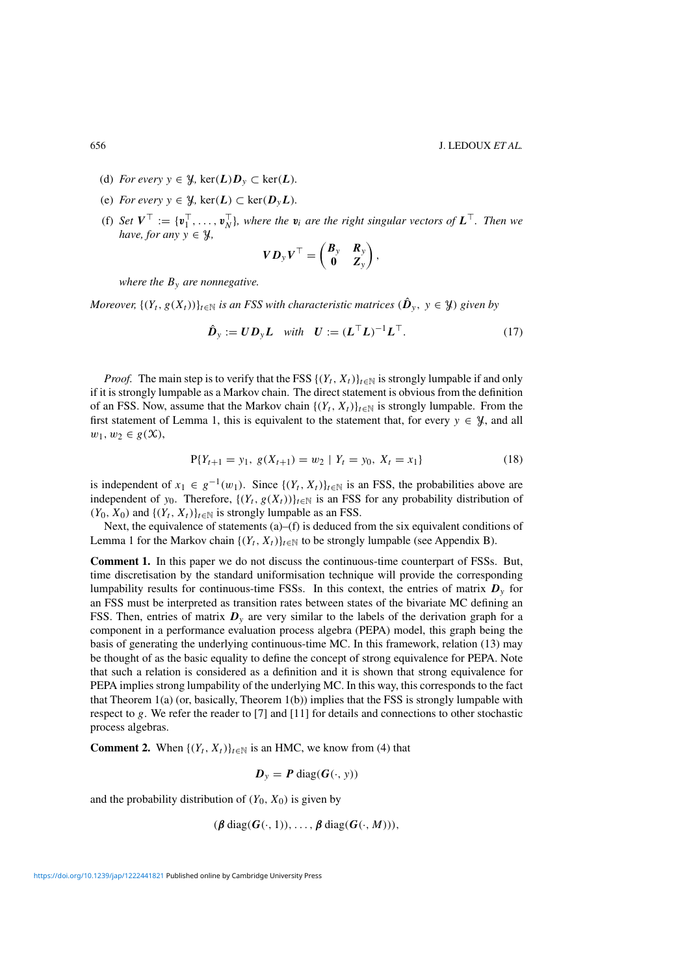- (d) *For every*  $y \in \mathcal{Y}$ , ker $(L)D_y \subset \text{ker}(L)$ .
- (e) *For every*  $y \in \mathcal{Y}$ , ker( $L$ )  $\subset$  ker( $D_yL$ ).
- (f) *Set*  $V^{\top} := \{v_1^{\top}, \ldots, v_N^{\top}\}\$ , where the  $v_i$  are the right singular vectors of  $L^{\top}$ . Then we *have, for any*  $y \in \mathcal{Y}$ ,

$$
V D_y V^\top = \begin{pmatrix} B_y & R_y \\ 0 & Z_y \end{pmatrix},
$$

*where the* By *are nonnegative.*

*Moreover,*  $\{(Y_t, g(X_t))\}_{t\in\mathbb{N}}$  *is an FSS with characteristic matrices*  $(\hat{\boldsymbol{D}}_v, y \in \mathcal{Y})$  *given by* 

$$
\hat{\boldsymbol{D}}_{y} := \boldsymbol{U} \boldsymbol{D}_{y} \boldsymbol{L} \quad \text{with} \quad \boldsymbol{U} := (\boldsymbol{L}^{\top} \boldsymbol{L})^{-1} \boldsymbol{L}^{\top}.
$$
 (17)

*Proof.* The main step is to verify that the FSS  $\{(Y_t, X_t)\}_{t \in \mathbb{N}}$  is strongly lumpable if and only if it is strongly lumpable as a Markov chain. The direct statement is obvious from the definition of an FSS. Now, assume that the Markov chain  $\{(Y_t, X_t)\}_{t\in\mathbb{N}}$  is strongly lumpable. From the first statement of Lemma 1, this is equivalent to the statement that, for every  $y \in \mathcal{Y}$ , and all  $w_1, w_2 \in g(\mathfrak{X}),$ 

$$
P{Y_{t+1} = y_1, g(X_{t+1}) = w_2 \mid Y_t = y_0, X_t = x_1}
$$
\n(18)

is independent of  $x_1 \in g^{-1}(w_1)$ . Since  $\{(Y_t, X_t)\}_{t \in \mathbb{N}}$  is an FSS, the probabilities above are independent of y<sub>0</sub>. Therefore,  $\{(Y_t, g(X_t))\}_{t\in\mathbb{N}}$  is an FSS for any probability distribution of  $(Y_0, X_0)$  and  $\{(Y_t, X_t)\}_{t \in \mathbb{N}}$  is strongly lumpable as an FSS.

Next, the equivalence of statements  $(a)$ – $(f)$  is deduced from the six equivalent conditions of Lemma 1 for the Markov chain  $\{(Y_t, X_t)\}_{t \in \mathbb{N}}$  to be strongly lumpable (see Appendix B).

**Comment 1.** In this paper we do not discuss the continuous-time counterpart of FSSs. But, time discretisation by the standard uniformisation technique will provide the corresponding lumpability results for continuous-time FSSs. In this context, the entries of matrix  $D_y$  for an FSS must be interpreted as transition rates between states of the bivariate MC defining an FSS. Then, entries of matrix  $D<sub>y</sub>$  are very similar to the labels of the derivation graph for a component in a performance evaluation process algebra (PEPA) model, this graph being the basis of generating the underlying continuous-time MC. In this framework, relation (13) may be thought of as the basic equality to define the concept of strong equivalence for PEPA. Note that such a relation is considered as a definition and it is shown that strong equivalence for PEPA implies strong lumpability of the underlying MC. In this way, this corresponds to the fact that Theorem 1(a) (or, basically, Theorem 1(b)) implies that the FSS is strongly lumpable with respect to g. We refer the reader to [7] and [11] for details and connections to other stochastic process algebras.

**Comment 2.** When  $\{(Y_t, X_t)\}_{t \in \mathbb{N}}$  is an HMC, we know from (4) that

$$
D_{y} = P \operatorname{diag}(G(\cdot, y))
$$

and the probability distribution of  $(Y_0, X_0)$  is given by

(*β* diag(*G*(·, 1)), . . . , *β* diag(*G*(·, M))),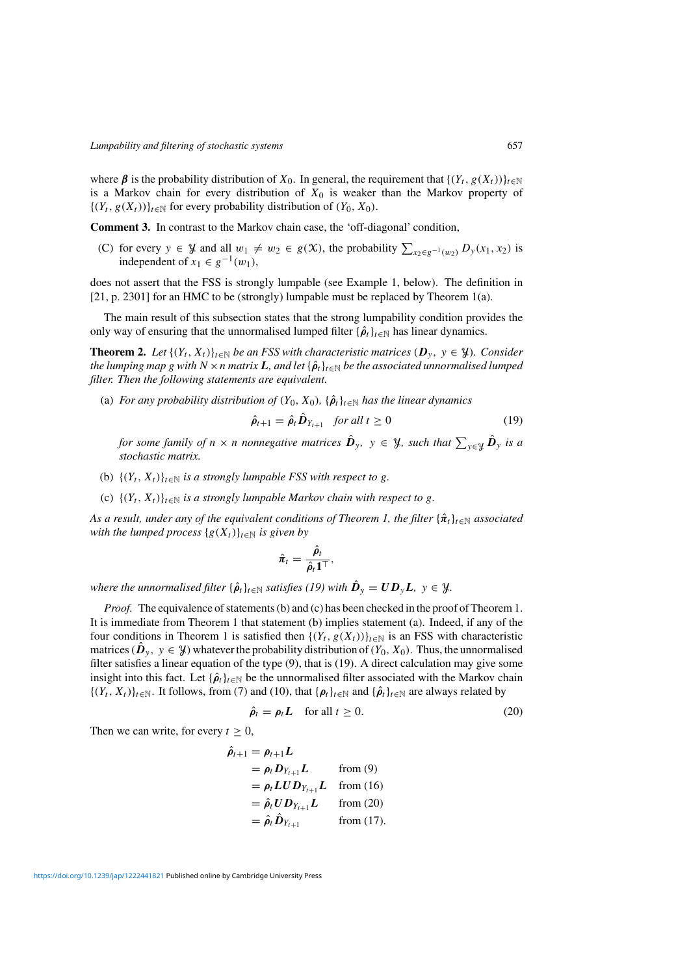where  $\beta$  is the probability distribution of  $X_0$ . In general, the requirement that  $\{(Y_t, g(X_t))\}_{t\in\mathbb{N}}$ is a Markov chain for every distribution of  $X_0$  is weaker than the Markov property of  $\{(Y_t, g(X_t))\}_{t\in\mathbb{N}}$  for every probability distribution of  $(Y_0, X_0)$ .

**Comment 3.** In contrast to the Markov chain case, the 'off-diagonal' condition,

(C) for every  $y \in \mathcal{Y}$  and all  $w_1 \neq w_2 \in g(\mathcal{X})$ , the probability  $\sum_{x_2 \in g^{-1}(w_2)} D_y(x_1, x_2)$  is independent of  $x_1 \in g^{-1}(w_1)$ ,

does not assert that the FSS is strongly lumpable (see Example 1, below). The definition in [21, p. 2301] for an HMC to be (strongly) lumpable must be replaced by Theorem 1(a).

The main result of this subsection states that the strong lumpability condition provides the only way of ensuring that the unnormalised lumped filter  $\{\hat{\rho}_t\}_{t\in\mathbb{N}}$  has linear dynamics.

**Theorem 2.** Let  $\{(Y_t, X_t)\}_{t\in\mathbb{N}}$  be an FSS with characteristic matrices  $(D_y, y \in \mathcal{Y})$ . Consider *the lumping map g with*  $N \times n$  *matrix*  $L$ *, and let*  $\{\hat{\rho}_t\}_{t \in \mathbb{N}}$  *be the associated unnormalised lumped filter. Then the following statements are equivalent.*

(a) *For any probability distribution of*  $(Y_0, X_0)$ ,  $\{\hat{\rho}_t\}_{t \in \mathbb{N}}$  *has the linear dynamics* 

$$
\hat{\rho}_{t+1} = \hat{\rho}_t \hat{D}_{Y_{t+1}} \quad \text{for all } t \ge 0 \tag{19}
$$

*for some family of n*  $\times$  *n nonnegative matrices*  $\hat{D}_y$ ,  $y \in \mathcal{Y}$ , such that  $\sum_{y \in \mathcal{Y}} \hat{D}_y$  is a *stochastic matrix.*

- (b)  $\{(Y_t, X_t)\}_{t\in\mathbb{N}}$  *is a strongly lumpable FSS with respect to g.*
- (c)  $\{(Y_t, X_t)\}_{t \in \mathbb{N}}$  *is a strongly lumpable Markov chain with respect to g.*

*As a result, under any of the equivalent conditions of Theorem 1, the filter*  $\{\hat{\pi}_t\}_{t\in\mathbb{N}}$  *associated with the lumped process*  $\{g(X_t)\}_{t\in\mathbb{N}}$  *is given by* 

$$
\hat{\pmb{\pi}}_t = \frac{\hat{\pmb{\rho}}_t}{\hat{\pmb{\rho}}_t \mathbf{1}^\top},
$$

*where the unnormalised filter*  $\{\hat{\rho}_t\}_{t\in\mathbb{N}}$  *satisfies* (19) with  $\hat{D}_y = U D_y L$ ,  $y \in \mathcal{Y}$ .

*Proof.* The equivalence of statements (b) and (c) has been checked in the proof of Theorem 1. It is immediate from Theorem 1 that statement (b) implies statement (a). Indeed, if any of the four conditions in Theorem 1 is satisfied then  $\{(Y_t, g(X_t))\}_{t\in\mathbb{N}}$  is an FSS with characteristic matrices ( $\hat{\bm{D}}_y, y \in \mathcal{Y}$ ) whatever the probability distribution of  $(Y_0, X_0)$ . Thus, the unnormalised filter satisfies a linear equation of the type (9), that is (19). A direct calculation may give some insight into this fact. Let  $\{\hat{\rho}_t\}_{t\in\mathbb{N}}$  be the unnormalised filter associated with the Markov chain  $\{(Y_t, X_t)\}_{t\in\mathbb{N}}$ . It follows, from (7) and (10), that  $\{\rho_t\}_{t\in\mathbb{N}}$  and  $\{\hat{\rho}_t\}_{t\in\mathbb{N}}$  are always related by

$$
\hat{\rho}_t = \rho_t L \quad \text{for all } t \ge 0. \tag{20}
$$

Then we can write, for every  $t > 0$ ,

$$
\hat{\rho}_{t+1} = \rho_{t+1} L
$$
\n
$$
= \rho_t D_{Y_{t+1}} L \qquad \text{from (9)}
$$
\n
$$
= \rho_t L U D_{Y_{t+1}} L \qquad \text{from (16)}
$$
\n
$$
= \hat{\rho}_t U D_{Y_{t+1}} L \qquad \text{from (20)}
$$
\n
$$
= \hat{\rho}_t \hat{D}_{Y_{t+1}} \qquad \text{from (17)}.
$$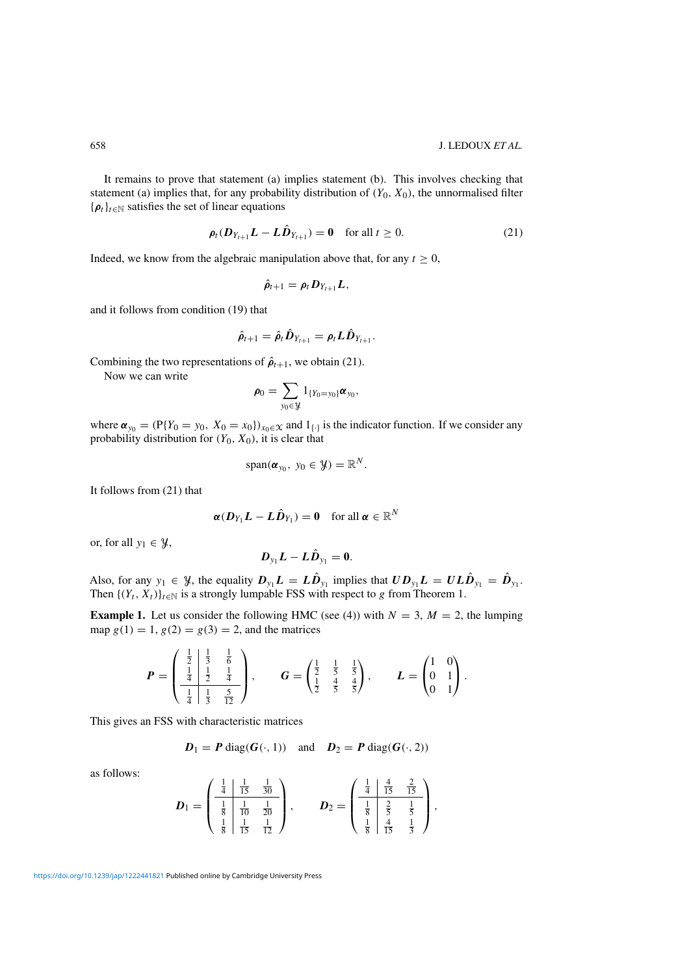It remains to prove that statement (a) implies statement (b). This involves checking that statement (a) implies that, for any probability distribution of  $(Y_0, X_0)$ , the unnormalised filter  $\{\rho_t\}_{t\in\mathbb{N}}$  satisfies the set of linear equations

$$
\rho_t(D_{Y_{t+1}}L - L\hat{D}_{Y_{t+1}}) = 0 \quad \text{for all } t \ge 0.
$$
 (21)

Indeed, we know from the algebraic manipulation above that, for any  $t \geq 0$ ,

$$
\hat{\rho}_{t+1} = \rho_t D_{Y_{t+1}} L,
$$

and it follows from condition (19) that

$$
\hat{\rho}_{t+1} = \hat{\rho}_t \hat{D}_{Y_{t+1}} = \rho_t L \hat{D}_{Y_{t+1}}.
$$

Combining the two representations of  $\hat{\rho}_{t+1}$ , we obtain (21).

Now we can write

$$
\pmb{\rho}_0 = \sum_{y_0 \in \mathcal{Y}} \mathbb{1}_{\{Y_0 = y_0\}} \pmb{\alpha}_{y_0},
$$

where  $\alpha_{y_0} = (\mathbb{P}{Y_0 = y_0, X_0 = x_0})_{x_0 \in \mathcal{X}}$  and  $1_{\{\cdot\}}$  is the indicator function. If we consider any probability distribution for  $(Y_0, X_0)$ , it is clear that

$$
\mathrm{span}(\pmb{\alpha}_{y_0},\ y_0\in\mathcal{Y})=\mathbb{R}^N.
$$

It follows from (21) that

$$
\boldsymbol{\alpha}(\boldsymbol{D}_{Y_1}\boldsymbol{L}-\boldsymbol{L}\hat{\boldsymbol{D}}_{Y_1})=\boldsymbol{0} \quad \text{for all } \boldsymbol{\alpha} \in \mathbb{R}^N
$$

or, for all  $y_1 \in \mathcal{Y}$ ,

$$
\boldsymbol{D}_{y_1}\boldsymbol{L}-\boldsymbol{L}\boldsymbol{\hat{D}}_{y_1}=\boldsymbol{0}.
$$

Also, for any  $y_1 \in \mathcal{Y}$ , the equality  $D_{y_1}L = L\hat{D}_{y_1}$  implies that  $UD_{y_1}L = UL\hat{D}_{y_1} = \hat{D}_{y_1}$ . Then  $\{(Y_t, X_t)\}_{t \in \mathbb{N}}$  is a strongly lumpable FSS with respect to g from Theorem 1.

**Example 1.** Let us consider the following HMC (see (4)) with  $N = 3$ ,  $M = 2$ , the lumping map  $g(1) = 1, g(2) = g(3) = 2$ , and the matrices

$$
P = \begin{pmatrix} \frac{1}{2} & \frac{1}{3} & \frac{1}{6} \\ \frac{1}{4} & \frac{1}{2} & \frac{1}{4} \\ \frac{1}{4} & \frac{1}{3} & \frac{5}{12} \end{pmatrix}, \qquad G = \begin{pmatrix} \frac{1}{2} & \frac{1}{5} & \frac{1}{5} \\ \frac{1}{2} & \frac{4}{5} & \frac{4}{5} \end{pmatrix}, \qquad L = \begin{pmatrix} 1 & 0 \\ 0 & 1 \\ 0 & 1 \end{pmatrix}.
$$

This gives an FSS with characteristic matrices

$$
D_1 = P \operatorname{diag}(G(\cdot, 1)) \quad \text{and} \quad D_2 = P \operatorname{diag}(G(\cdot, 2))
$$

as follows:

$$
D_1 = \begin{pmatrix} \frac{1}{4} & \frac{1}{15} & \frac{1}{30} \\ \frac{1}{8} & \frac{1}{10} & \frac{1}{20} \\ \frac{1}{8} & \frac{1}{15} & \frac{1}{12} \end{pmatrix}, \qquad D_2 = \begin{pmatrix} \frac{1}{4} & \frac{4}{15} & \frac{2}{15} \\ \frac{1}{8} & \frac{2}{5} & \frac{1}{5} \\ \frac{1}{8} & \frac{4}{15} & \frac{1}{3} \end{pmatrix},
$$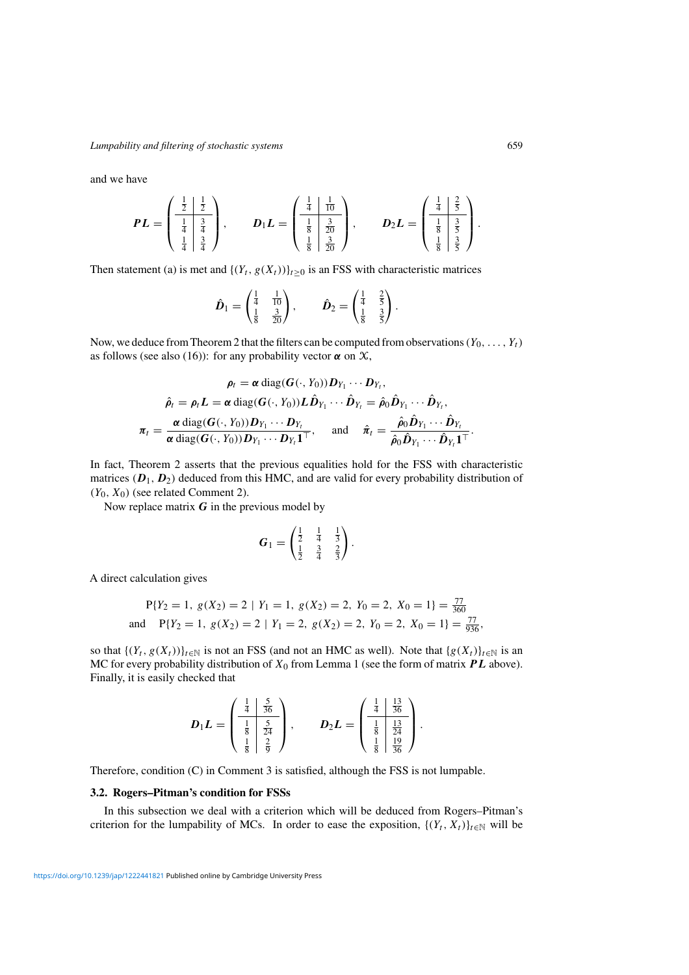and we have

$$
PL = \begin{pmatrix} \frac{1}{2} & \frac{1}{2} \\ \frac{1}{4} & \frac{3}{4} \\ \frac{1}{4} & \frac{3}{4} \end{pmatrix}, \qquad D_1L = \begin{pmatrix} \frac{1}{4} & \frac{1}{10} \\ \frac{1}{8} & \frac{3}{20} \\ \frac{1}{8} & \frac{3}{20} \end{pmatrix}, \qquad D_2L = \begin{pmatrix} \frac{1}{4} & \frac{2}{5} \\ \frac{1}{8} & \frac{3}{5} \\ \frac{1}{8} & \frac{3}{5} \end{pmatrix}.
$$

Then statement (a) is met and  $\{(Y_t, g(X_t))\}_{t\geq 0}$  is an FSS with characteristic matrices

$$
\hat{\bm{D}}_1 = \begin{pmatrix} \frac{1}{4} & \frac{1}{10} \\ \frac{1}{8} & \frac{3}{20} \end{pmatrix}, \qquad \hat{\bm{D}}_2 = \begin{pmatrix} \frac{1}{4} & \frac{2}{5} \\ \frac{1}{8} & \frac{3}{5} \end{pmatrix}
$$

.

Now, we deduce from Theorem 2 that the filters can be computed from observations ( $Y_0, \ldots, Y_t$ ) as follows (see also (16)): for any probability vector  $\alpha$  on  $\chi$ ,

$$
\rho_t = \alpha \operatorname{diag}(\boldsymbol{G}(\cdot, Y_0)) \boldsymbol{D}_{Y_1} \cdots \boldsymbol{D}_{Y_t},
$$

$$
\hat{\rho}_t = \rho_t \boldsymbol{L} = \alpha \operatorname{diag}(\boldsymbol{G}(\cdot, Y_0)) \boldsymbol{L} \hat{\boldsymbol{D}}_{Y_1} \cdots \hat{\boldsymbol{D}}_{Y_t} = \hat{\rho}_0 \hat{\boldsymbol{D}}_{Y_1} \cdots \hat{\boldsymbol{D}}_{Y_t},
$$

$$
\pi_t = \frac{\alpha \operatorname{diag}(\boldsymbol{G}(\cdot, Y_0)) \boldsymbol{D}_{Y_1} \cdots \boldsymbol{D}_{Y_t}}{\alpha \operatorname{diag}(\boldsymbol{G}(\cdot, Y_0)) \boldsymbol{D}_{Y_1} \cdots \boldsymbol{D}_{Y_t} \boldsymbol{1}^\top}, \quad \text{and} \quad \hat{\pi}_t = \frac{\hat{\rho}_0 \hat{\boldsymbol{D}}_{Y_1} \cdots \hat{\boldsymbol{D}}_{Y_t}}{\hat{\rho}_0 \hat{\boldsymbol{D}}_{Y_1} \cdots \hat{\boldsymbol{D}}_{Y_t} \boldsymbol{1}^\top}.
$$

In fact, Theorem 2 asserts that the previous equalities hold for the FSS with characteristic matrices  $(D_1, D_2)$  deduced from this HMC, and are valid for every probability distribution of  $(Y_0, X_0)$  (see related Comment 2).

Now replace matrix *G* in the previous model by

$$
G_1 = \begin{pmatrix} \frac{1}{2} & \frac{1}{4} & \frac{1}{3} \\ \frac{1}{2} & \frac{3}{4} & \frac{2}{3} \end{pmatrix}.
$$

A direct calculation gives

$$
P{Y2 = 1, g(X2) = 2 | Y1 = 1, g(X2) = 2, Y0 = 2, X0 = 1} = \frac{77}{360}
$$
  
and 
$$
P{Y2 = 1, g(X2) = 2 | Y1 = 2, g(X2) = 2, Y0 = 2, X0 = 1} = \frac{77}{936},
$$

so that  $\{(Y_t, g(X_t))\}_{t\in\mathbb{N}}$  is not an FSS (and not an HMC as well). Note that  $\{g(X_t)\}_{t\in\mathbb{N}}$  is an MC for every probability distribution of  $X_0$  from Lemma 1 (see the form of matrix  $PL$  above). Finally, it is easily checked that

$$
D_1L = \begin{pmatrix} \frac{1}{4} & \frac{5}{36} \\ \frac{1}{8} & \frac{5}{24} \\ \frac{1}{8} & \frac{2}{9} \end{pmatrix}, \qquad D_2L = \begin{pmatrix} \frac{1}{4} & \frac{13}{36} \\ \frac{1}{8} & \frac{13}{24} \\ \frac{1}{8} & \frac{19}{36} \end{pmatrix}.
$$

Therefore, condition (C) in Comment 3 is satisfied, although the FSS is not lumpable.

#### **3.2. Rogers–Pitman's condition for FSSs**

In this subsection we deal with a criterion which will be deduced from Rogers–Pitman's criterion for the lumpability of MCs. In order to ease the exposition,  $\{(Y_t, X_t)\}_{t \in \mathbb{N}}$  will be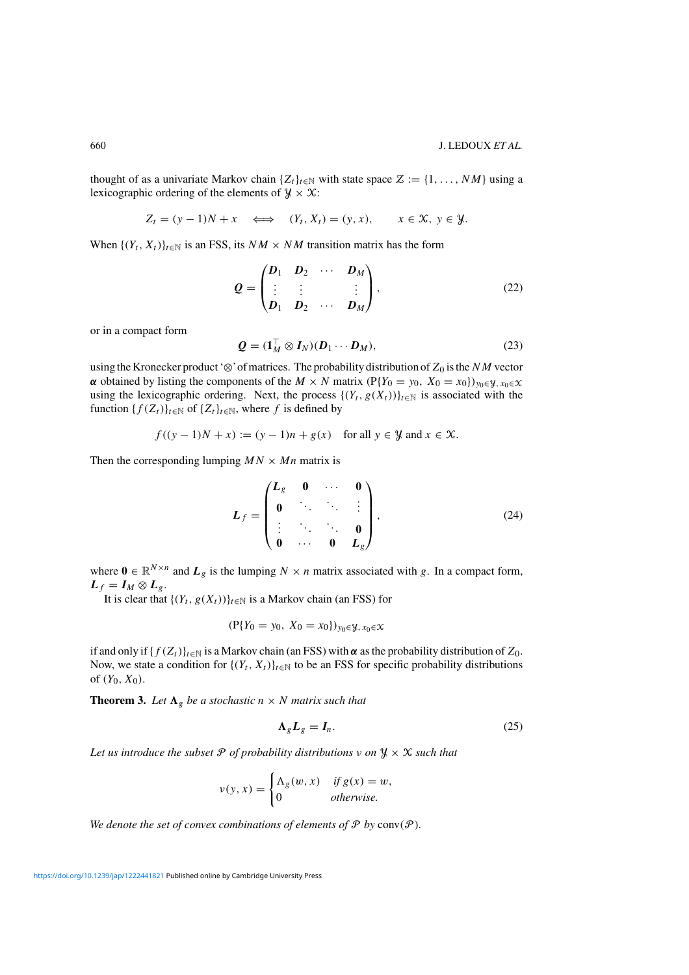thought of as a univariate Markov chain  $\{Z_t\}_{t\in\mathbb{N}}$  with state space  $\mathcal{Z} := \{1, \ldots, NM\}$  using a lexicographic ordering of the elements of  $\mathcal{Y} \times \mathcal{X}$ :

$$
Z_t = (y - 1)N + x \iff (Y_t, X_t) = (y, x), \quad x \in \mathcal{X}, y \in \mathcal{Y}.
$$

When  $\{(Y_t, X_t)\}_{t \in \mathbb{N}}$  is an FSS, its  $NM \times NM$  transition matrix has the form

$$
\mathbf{Q} = \begin{pmatrix} \mathbf{D}_1 & \mathbf{D}_2 & \cdots & \mathbf{D}_M \\ \vdots & \vdots & & \vdots \\ \mathbf{D}_1 & \mathbf{D}_2 & \cdots & \mathbf{D}_M \end{pmatrix},
$$
(22)

or in a compact form

$$
\mathbf{Q} = (\mathbf{1}_M^\top \otimes \mathbf{I}_N)(\mathbf{D}_1 \cdots \mathbf{D}_M),\tag{23}
$$

using the Kronecker product ' $\otimes$ ' of matrices. The probability distribution of  $Z_0$  is the NM vector *α* obtained by listing the components of the  $M \times N$  matrix (P{Y<sub>0</sub> = y<sub>0</sub>, X<sub>0</sub> = x<sub>0</sub>})<sub>y<sub>0</sub>∈y<sub>, x<sub>0</sub>∈x</sub></sub> using the lexicographic ordering. Next, the process  $\{(Y_t, g(X_t))\}_{t\in\mathbb{N}}$  is associated with the function  $\{f(Z_t)\}_{t\in\mathbb{N}}$  of  $\{Z_t\}_{t\in\mathbb{N}}$ , where f is defined by

 $f((y-1)N + x) := (y-1)n + g(x)$  for all  $y \in \mathcal{Y}$  and  $x \in \mathcal{X}$ .

Then the corresponding lumping  $MN \times Mn$  matrix is

$$
L_f = \begin{pmatrix} L_g & 0 & \cdots & 0 \\ 0 & \ddots & \ddots & \vdots \\ \vdots & \ddots & \ddots & 0 \\ 0 & \cdots & 0 & L_g \end{pmatrix},\tag{24}
$$

where  $\mathbf{0} \in \mathbb{R}^{N \times n}$  and  $L_g$  is the lumping  $N \times n$  matrix associated with g. In a compact form,  $L_f = I_M \otimes L_g$ .

It is clear that  $\{(Y_t, g(X_t))\}_{t\in\mathbb{N}}$  is a Markov chain (an FSS) for

$$
(\mathbf{P}\{Y_0 = y_0, \ X_0 = x_0\})_{y_0 \in \mathcal{Y}, \ x_0 \in \mathcal{X}}
$$

if and only if  $\{f(Z_t)\}_{t\in\mathbb{N}}$  is a Markov chain (an FSS) with  $\alpha$  as the probability distribution of  $Z_0$ . Now, we state a condition for  $\{(Y_t, X_t)\}_{t \in \mathbb{N}}$  to be an FSS for specific probability distributions of  $(Y_0, X_0)$ .

**Theorem 3.** Let  $\Lambda_g$  be a stochastic  $n \times N$  matrix such that

$$
\Lambda_g L_g = I_n. \tag{25}
$$

*Let us introduce the subset*  $P$  *of probability distributions*  $\nu$  *on*  $\mathcal{Y} \times \mathcal{X}$  *such that* 

$$
v(y, x) = \begin{cases} \Lambda_g(w, x) & \text{if } g(x) = w, \\ 0 & \text{otherwise.} \end{cases}
$$

We denote the set of convex combinations of elements of  $P$  by  $conv(P)$ *.*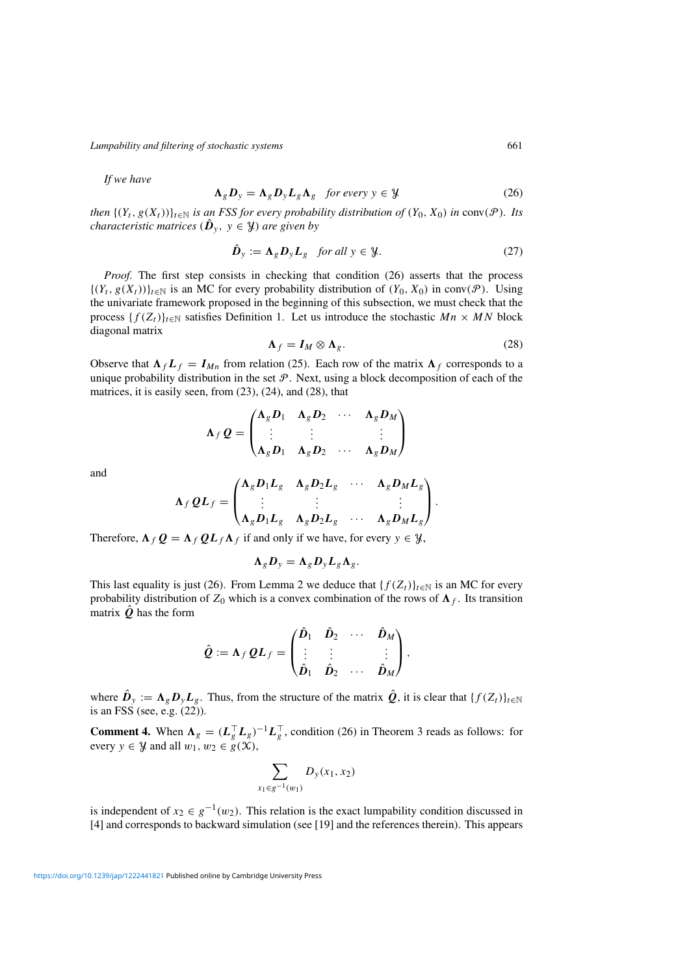*If we have*

$$
\Lambda_g D_y = \Lambda_g D_y L_g \Lambda_g \quad \text{for every } y \in \mathcal{Y}
$$
 (26)

*then*  $\{(Y_t, g(X_t))\}_{t\in\mathbb{N}}$  *is an FSS for every probability distribution of*  $(Y_0, X_0)$  *in* conv( $\mathcal{P}$ )*. Its characteristic matrices*  $(\hat{\mathbf{D}}_y, y \in \mathcal{Y})$  *are given by* 

$$
\hat{\boldsymbol{D}}_{\mathbf{y}} := \boldsymbol{\Lambda}_{g} \boldsymbol{D}_{\mathbf{y}} \boldsymbol{L}_{g} \quad \text{for all } \mathbf{y} \in \mathcal{Y}.
$$
 (27)

*Proof.* The first step consists in checking that condition (26) asserts that the process  $\{(Y_t, g(X_t))\}_{t\in\mathbb{N}}$  is an MC for every probability distribution of  $(Y_0, X_0)$  in conv(P). Using the univariate framework proposed in the beginning of this subsection, we must check that the process  $\{f(Z_t)\}_{t\in\mathbb{N}}$  satisfies Definition 1. Let us introduce the stochastic  $Mn \times MN$  block diagonal matrix

$$
\Lambda_f = I_M \otimes \Lambda_g. \tag{28}
$$

Observe that  $\Lambda_f L_f = I_{Mn}$  from relation (25). Each row of the matrix  $\Lambda_f$  corresponds to a unique probability distribution in the set  $\mathcal{P}$ . Next, using a block decomposition of each of the matrices, it is easily seen, from (23), (24), and (28), that

$$
\Lambda_f Q = \begin{pmatrix} \Lambda_g D_1 & \Lambda_g D_2 & \cdots & \Lambda_g D_M \\ \vdots & \vdots & & \vdots \\ \Lambda_g D_1 & \Lambda_g D_2 & \cdots & \Lambda_g D_M \end{pmatrix}
$$

and

$$
\Lambda_f QL_f = \begin{pmatrix} \Lambda_g D_1 L_g & \Lambda_g D_2 L_g & \cdots & \Lambda_g D_M L_g \\ \vdots & \vdots & & \vdots \\ \Lambda_g D_1 L_g & \Lambda_g D_2 L_g & \cdots & \Lambda_g D_M L_g \end{pmatrix}.
$$

Therefore,  $\Lambda_f Q = \Lambda_f Q L_f \Lambda_f$  if and only if we have, for every  $y \in \mathcal{Y}$ ,

$$
\Lambda_g D_y = \Lambda_g D_y L_g \Lambda_g.
$$

This last equality is just (26). From Lemma 2 we deduce that  ${f(Z_t)}_{t \in \mathbb{N}}$  is an MC for every probability distribution of  $Z_0$  which is a convex combination of the rows of  $\Lambda_f$ . Its transition matrix  $\hat{\mathbf{Q}}$  has the form

$$
\hat{\mathbf{Q}} := \mathbf{\Lambda}_f \, \mathbf{Q} \mathbf{L}_f = \begin{pmatrix} \hat{\mathbf{D}}_1 & \hat{\mathbf{D}}_2 & \cdots & \hat{\mathbf{D}}_M \\ \vdots & \vdots & & \vdots \\ \hat{\mathbf{D}}_1 & \hat{\mathbf{D}}_2 & \cdots & \hat{\mathbf{D}}_M \end{pmatrix},
$$

where  $\hat{\mathbf{D}}_{\nu} := \mathbf{\Lambda}_{g} \mathbf{D}_{\nu} L_{g}$ . Thus, from the structure of the matrix  $\hat{\mathbf{Q}}$ , it is clear that  $\{f(Z_t)\}_{t \in \mathbb{N}}$ is an FSS (see, e.g. (22)).

**Comment 4.** When  $\Lambda_g = (L_g^T L_g)^{-1} L_g^T$ , condition (26) in Theorem 3 reads as follows: for every  $y \in \mathcal{Y}$  and all  $w_1, w_2 \in \mathcal{Y}(\mathcal{X}),$ 

$$
\sum_{x_1 \in g^{-1}(w_1)} D_y(x_1, x_2)
$$

is independent of  $x_2 \in g^{-1}(w_2)$ . This relation is the exact lumpability condition discussed in [4] and corresponds to backward simulation (see [19] and the references therein). This appears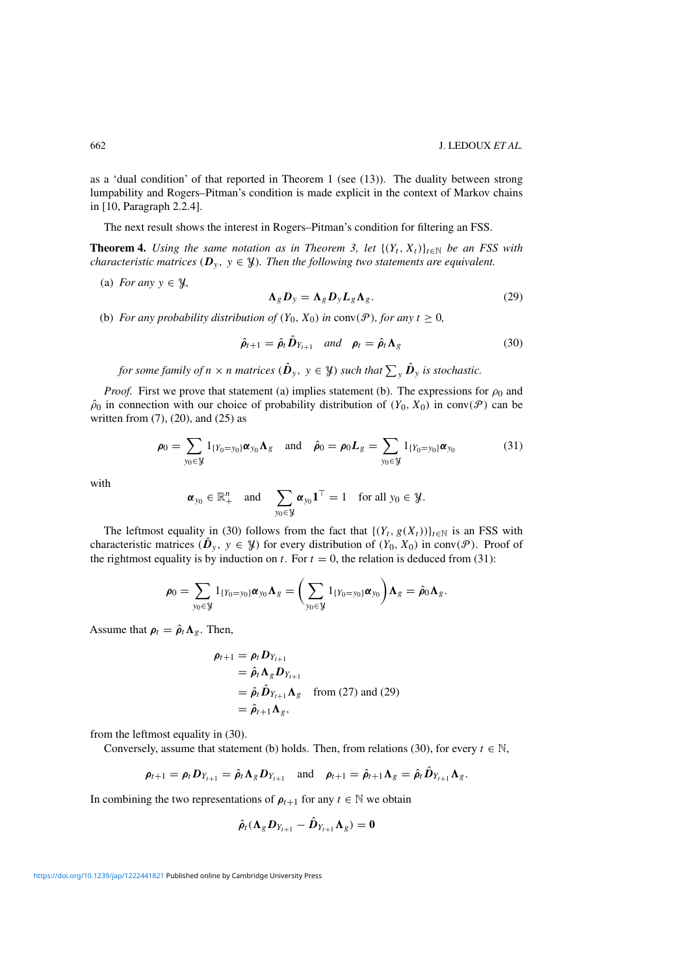as a 'dual condition' of that reported in Theorem 1 (see (13)). The duality between strong lumpability and Rogers–Pitman's condition is made explicit in the context of Markov chains in [10, Paragraph 2.2.4].

The next result shows the interest in Rogers–Pitman's condition for filtering an FSS.

**Theorem 4.** *Using the same notation as in Theorem 3, let*  $\{(Y_t, X_t)\}_{t\in\mathbb{N}}$  *be an FSS with characteristic matrices* ( $\mathbf{D}_y$ ,  $y \in \mathcal{Y}$ ). Then the following two statements are equivalent.

(a) *For any*  $y \in \mathcal{Y}$ ,

$$
\Lambda_g D_y = \Lambda_g D_y L_g \Lambda_g. \tag{29}
$$

(b) *For any probability distribution of*  $(Y_0, X_0)$  *in* conv $(\mathcal{P})$ *, for any*  $t \geq 0$ *,* 

$$
\hat{\rho}_{t+1} = \hat{\rho}_t \hat{D}_{Y_{t+1}} \quad \text{and} \quad \rho_t = \hat{\rho}_t \Lambda_g \tag{30}
$$

for some family of  $n \times n$  matrices  $(\hat{\bm{D}}_y, \ y \in \mathcal{Y})$  such that  $\sum_{y} \hat{\bm{D}}_y$  is stochastic.

*Proof.* First we prove that statement (a) implies statement (b). The expressions for  $\rho_0$  and  $\hat{\rho}_0$  in connection with our choice of probability distribution of  $(Y_0, X_0)$  in conv $(\mathcal{P})$  can be written from (7), (20), and (25) as

$$
\rho_0 = \sum_{y_0 \in \mathcal{Y}} 1_{\{Y_0 = y_0\}} \alpha_{y_0} \Lambda_g \quad \text{and} \quad \hat{\rho}_0 = \rho_0 L_g = \sum_{y_0 \in \mathcal{Y}} 1_{\{Y_0 = y_0\}} \alpha_{y_0} \tag{31}
$$

with

$$
\boldsymbol{\alpha}_{y_0} \in \mathbb{R}_+^n
$$
 and  $\sum_{y_0 \in \mathcal{Y}} \boldsymbol{\alpha}_{y_0} \mathbf{1}^\top = 1$  for all  $y_0 \in \mathcal{Y}$ .

The leftmost equality in (30) follows from the fact that  $\{(Y_t, g(X_t))\}_{t\in\mathbb{N}}$  is an FSS with characteristic matrices ( $\hat{\bm{D}}_y$ ,  $y \in \mathcal{Y}$ ) for every distribution of  $(Y_0, X_0)$  in conv( $\mathcal{P}$ ). Proof of the rightmost equality is by induction on t. For  $t = 0$ , the relation is deduced from (31):

$$
\boldsymbol{\rho}_0 = \sum_{y_0 \in \mathcal{Y}} 1_{\{Y_0 = y_0\}} \boldsymbol{\alpha}_{y_0} \boldsymbol{\Lambda}_g = \bigg( \sum_{y_0 \in \mathcal{Y}} 1_{\{Y_0 = y_0\}} \boldsymbol{\alpha}_{y_0} \bigg) \boldsymbol{\Lambda}_g = \hat{\boldsymbol{\rho}}_0 \boldsymbol{\Lambda}_g.
$$

Assume that  $\rho_t = \hat{\rho}_t \Lambda_g$ . Then,

$$
\rho_{t+1} = \rho_t D_{Y_{t+1}}
$$
  
=  $\hat{\rho}_t \Lambda_g D_{Y_{t+1}}$   
=  $\hat{\rho}_t \hat{D}_{Y_{t+1}} \Lambda_g$  from (27) and (29)  
=  $\hat{\rho}_{t+1} \Lambda_g$ ,

from the leftmost equality in (30).

Conversely, assume that statement (b) holds. Then, from relations (30), for every  $t \in \mathbb{N}$ ,

$$
\boldsymbol{\rho}_{t+1} = \boldsymbol{\rho}_t \mathbf{D}_{Y_{t+1}} = \hat{\boldsymbol{\rho}}_t \mathbf{\Lambda}_g \mathbf{D}_{Y_{t+1}} \quad \text{and} \quad \boldsymbol{\rho}_{t+1} = \hat{\boldsymbol{\rho}}_{t+1} \mathbf{\Lambda}_g = \hat{\boldsymbol{\rho}}_t \hat{\mathbf{D}}_{Y_{t+1}} \mathbf{\Lambda}_g.
$$

In combining the two representations of  $\rho_{t+1}$  for any  $t \in \mathbb{N}$  we obtain

$$
\hat{\rho}_t(\Lambda_g D_{Y_{t+1}} - \hat{D}_{Y_{t+1}} \Lambda_g) = 0
$$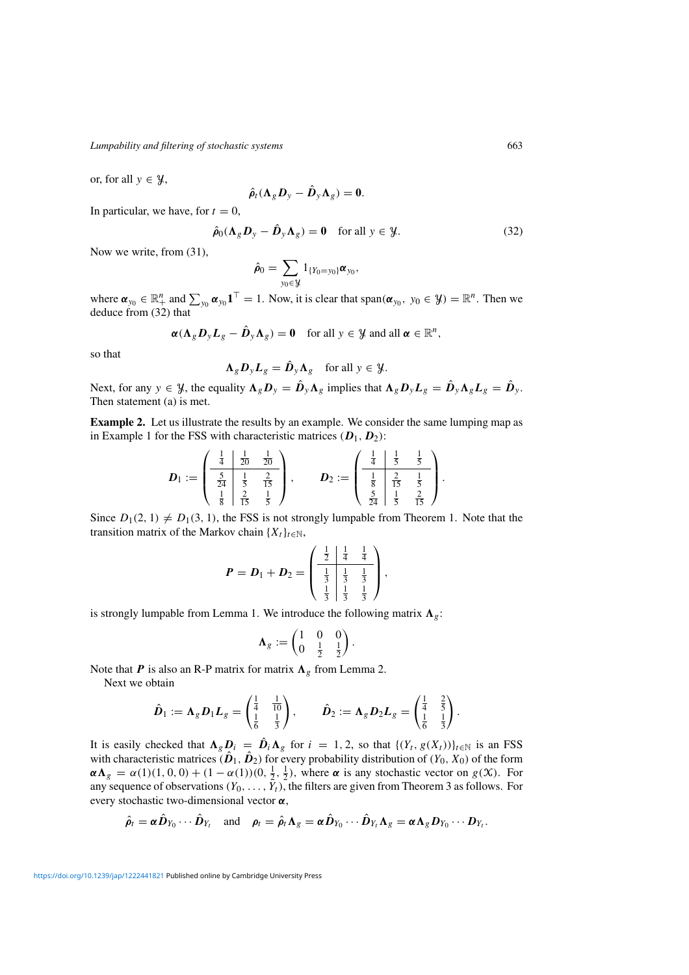or, for all  $y \in \mathcal{Y}$ ,

$$
\hat{\rho}_t(\Lambda_g D_y - \hat{D}_y \Lambda_g) = 0.
$$

In particular, we have, for  $t = 0$ ,

$$
\hat{\rho}_0(\Lambda_g \mathbf{D}_y - \hat{\mathbf{D}}_y \Lambda_g) = \mathbf{0} \quad \text{for all } y \in \mathcal{Y}.
$$
 (32)

Now we write, from (31),

$$
\hat{\rho}_0 = \sum_{y_0 \in \mathcal{Y}} 1_{\{Y_0 = y_0\}} \alpha_{y_0},
$$

where  $\boldsymbol{\alpha}_{y_0} \in \mathbb{R}_+^n$  and  $\sum_{y_0} \boldsymbol{\alpha}_{y_0} \mathbf{1}^\top = 1$ . Now, it is clear that span $(\boldsymbol{\alpha}_{y_0}, y_0 \in \mathcal{Y}) = \mathbb{R}^n$ . Then we deduce from (32) that

$$
\alpha(\Lambda_g D_y L_g - \hat{D}_y \Lambda_g) = 0 \quad \text{for all } y \in \mathcal{Y} \text{ and all } \alpha \in \mathbb{R}^n,
$$

so that

$$
\Lambda_g \mathbf{D}_y \mathbf{L}_g = \hat{\mathbf{D}}_y \Lambda_g \quad \text{for all } y \in \mathcal{Y}.
$$

Next, for any  $y \in \mathcal{Y}$ , the equality  $\Lambda_g D_y = \hat{D}_y \Lambda_g$  implies that  $\Lambda_g D_y L_g = \hat{D}_y \Lambda_g L_g = \hat{D}_y$ . Then statement (a) is met.

**Example 2.** Let us illustrate the results by an example. We consider the same lumping map as in Example 1 for the FSS with characteristic matrices  $(D_1, D_2)$ :

$$
\boldsymbol{D}_1 := \begin{pmatrix} \frac{1}{4} & \frac{1}{20} & \frac{1}{20} \\ \frac{5}{24} & \frac{1}{5} & \frac{2}{15} \\ \frac{1}{8} & \frac{2}{15} & \frac{1}{5} \end{pmatrix}, \qquad \boldsymbol{D}_2 := \begin{pmatrix} \frac{1}{4} & \frac{1}{5} & \frac{1}{5} \\ \frac{1}{8} & \frac{2}{15} & \frac{1}{5} \\ \frac{5}{24} & \frac{1}{5} & \frac{2}{15} \end{pmatrix}.
$$

Since  $D_1(2, 1) \neq D_1(3, 1)$ , the FSS is not strongly lumpable from Theorem 1. Note that the transition matrix of the Markov chain  $\{X_t\}_{t\in\mathbb{N}}$ ,

$$
P = D_1 + D_2 = \begin{pmatrix} \frac{1}{2} & \frac{1}{4} & \frac{1}{4} \\ \frac{1}{3} & \frac{1}{3} & \frac{1}{3} \\ \frac{1}{3} & \frac{1}{3} & \frac{1}{3} \end{pmatrix},
$$

is strongly lumpable from Lemma 1. We introduce the following matrix  $\Lambda_g$ :

$$
\mathbf{\Lambda}_g := \begin{pmatrix} 1 & 0 & 0 \\ 0 & \frac{1}{2} & \frac{1}{2} \end{pmatrix}.
$$

Note that *P* is also an R-P matrix for matrix  $\Lambda_g$  from Lemma 2.

Next we obtain

$$
\hat{\bm{D}}_1 := \bm{\Lambda}_g \bm{D}_1 \bm{L}_g = \begin{pmatrix} \frac{1}{4} & \frac{1}{10} \\ \frac{1}{6} & \frac{1}{3} \end{pmatrix}, \qquad \hat{\bm{D}}_2 := \bm{\Lambda}_g \bm{D}_2 \bm{L}_g = \begin{pmatrix} \frac{1}{4} & \frac{2}{5} \\ \frac{1}{6} & \frac{1}{3} \end{pmatrix}.
$$

It is easily checked that  $\Lambda_g D_i = \hat{D}_i \Lambda_g$  for  $i = 1, 2$ , so that  $\{(Y_t, g(X_t))\}_{t \in \mathbb{N}}$  is an FSS with characteristic matrices  $(\hat{\bm{D}}_1, \hat{\bm{D}}_2)$  for every probability distribution of  $(Y_0, X_0)$  of the form  $\alpha \Lambda_g = \alpha(1)(1, 0, 0) + (1 - \alpha(1))(0, \frac{1}{2}, \frac{1}{2})$ , where  $\alpha$  is any stochastic vector on  $g(\mathcal{X})$ . For any sequence of observations  $(Y_0, \ldots, Y_t)$ , the filters are given from Theorem 3 as follows. For every stochastic two-dimensional vector *α*,

$$
\hat{\rho}_t = \alpha \hat{D}_{Y_0} \cdots \hat{D}_{Y_t} \quad \text{and} \quad \rho_t = \hat{\rho}_t \Lambda_g = \alpha \hat{D}_{Y_0} \cdots \hat{D}_{Y_t} \Lambda_g = \alpha \Lambda_g D_{Y_0} \cdots D_{Y_t}.
$$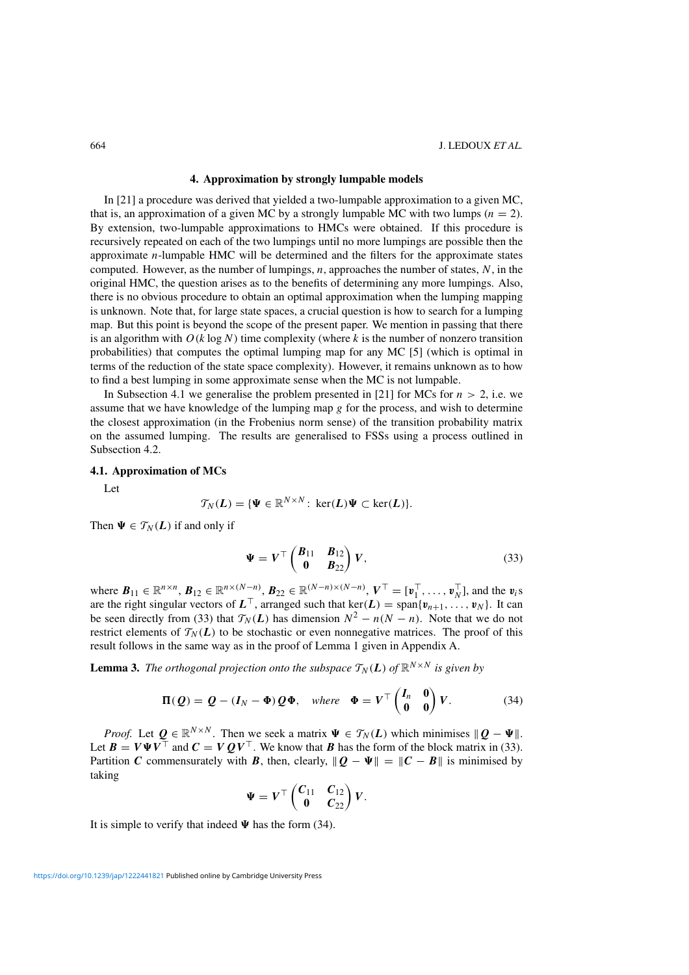## **4. Approximation by strongly lumpable models**

In [21] a procedure was derived that yielded a two-lumpable approximation to a given MC, that is, an approximation of a given MC by a strongly lumpable MC with two lumps ( $n = 2$ ). By extension, two-lumpable approximations to HMCs were obtained. If this procedure is recursively repeated on each of the two lumpings until no more lumpings are possible then the approximate  $n$ -lumpable HMC will be determined and the filters for the approximate states computed. However, as the number of lumpings,  $n$ , approaches the number of states,  $N$ , in the original HMC, the question arises as to the benefits of determining any more lumpings. Also, there is no obvious procedure to obtain an optimal approximation when the lumping mapping is unknown. Note that, for large state spaces, a crucial question is how to search for a lumping map. But this point is beyond the scope of the present paper. We mention in passing that there is an algorithm with  $O(k \log N)$  time complexity (where k is the number of nonzero transition probabilities) that computes the optimal lumping map for any MC [5] (which is optimal in terms of the reduction of the state space complexity). However, it remains unknown as to how to find a best lumping in some approximate sense when the MC is not lumpable.

In Subsection 4.1 we generalise the problem presented in [21] for MCs for  $n > 2$ , i.e. we assume that we have knowledge of the lumping map  $g$  for the process, and wish to determine the closest approximation (in the Frobenius norm sense) of the transition probability matrix on the assumed lumping. The results are generalised to FSSs using a process outlined in Subsection 4.2.

## **4.1. Approximation of MCs**

Let

$$
\mathcal{T}_N(L) = \{ \Psi \in \mathbb{R}^{N \times N} \colon \ker(L) \Psi \subset \ker(L) \}.
$$

Then  $\Psi \in T_N(L)$  if and only if

$$
\Psi = V^{\top} \begin{pmatrix} B_{11} & B_{12} \\ 0 & B_{22} \end{pmatrix} V, \tag{33}
$$

where  $B_{11} \in \mathbb{R}^{n \times n}$ ,  $B_{12} \in \mathbb{R}^{n \times (N-n)}$ ,  $B_{22} \in \mathbb{R}^{(N-n) \times (N-n)}$ ,  $V^{\top} = [\mathbf{v}_1^{\top}, \dots, \mathbf{v}_N^{\top}]$ , and the  $\mathbf{v}_i$ s are the right singular vectors of  $L^{\top}$ , arranged such that ker(*L*) = span{ $v_{n+1}$ , ...,  $v_N$ }. It can be seen directly from (33) that  $\mathcal{T}_N(L)$  has dimension  $N^2 - n(N - n)$ . Note that we do not restrict elements of  $\mathcal{T}_N(L)$  to be stochastic or even nonnegative matrices. The proof of this result follows in the same way as in the proof of Lemma 1 given in Appendix A.

**Lemma 3.** *The orthogonal projection onto the subspace*  $T_N(L)$  *of*  $\mathbb{R}^{N \times N}$  *is given by* 

$$
\Pi(Q) = Q - (I_N - \Phi) Q \Phi, \quad \text{where} \quad \Phi = V^\top \begin{pmatrix} I_n & 0 \\ 0 & 0 \end{pmatrix} V. \tag{34}
$$

*Proof.* Let  $Q \in \mathbb{R}^{N \times N}$ . Then we seek a matrix  $\Psi \in \mathcal{T}_N(L)$  which minimises  $||Q - \Psi||$ . Let  $B = V\Psi V^{\top}$  and  $C = VQV^{\top}$ . We know that *B* has the form of the block matrix in (33). Partition *C* commensurately with *B*, then, clearly,  $||Q - \Psi|| = ||C - B||$  is minimised by taking

$$
\Psi = V^{\top} \begin{pmatrix} C_{11} & C_{12} \\ 0 & C_{22} \end{pmatrix} V.
$$

It is simple to verify that indeed  $\Psi$  has the form (34).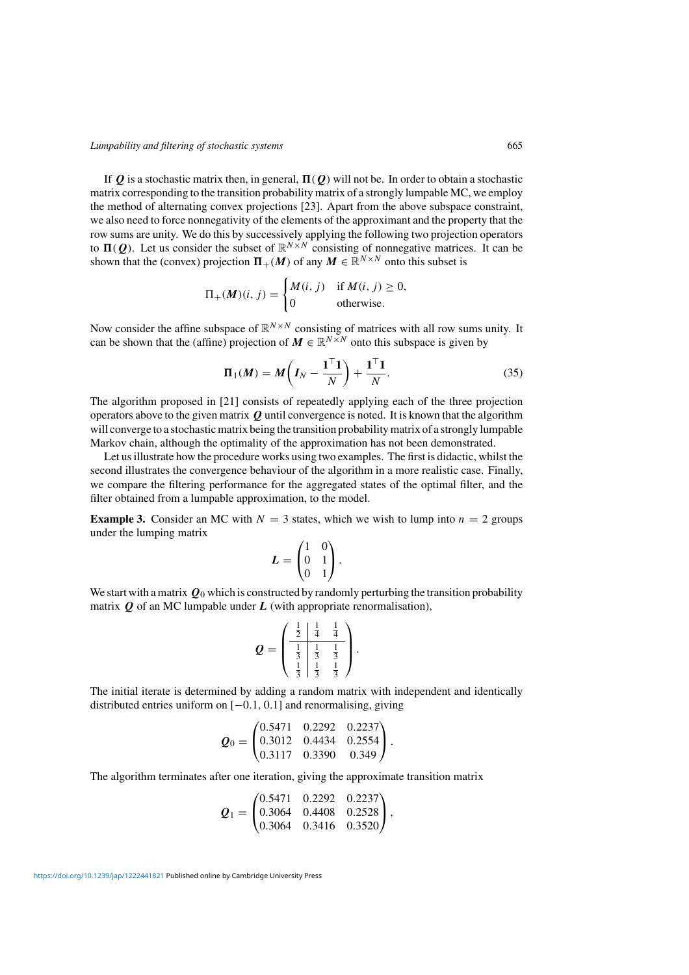If  $Q$  is a stochastic matrix then, in general,  $\Pi(Q)$  will not be. In order to obtain a stochastic matrix corresponding to the transition probability matrix of a strongly lumpable MC, we employ the method of alternating convex projections [23]. Apart from the above subspace constraint, we also need to force nonnegativity of the elements of the approximant and the property that the row sums are unity. We do this by successively applying the following two projection operators to  $\Pi(Q)$ . Let us consider the subset of  $\mathbb{R}^{N \times N}$  consisting of nonnegative matrices. It can be shown that the (convex) projection  $\Pi_+(M)$  of any  $M \in \mathbb{R}^{N \times N}$  onto this subset is

$$
\Pi_{+}(M)(i, j) = \begin{cases} M(i, j) & \text{if } M(i, j) \ge 0, \\ 0 & \text{otherwise.} \end{cases}
$$

Now consider the affine subspace of  $\mathbb{R}^{N \times N}$  consisting of matrices with all row sums unity. It can be shown that the (affine) projection of  $M \in \mathbb{R}^{N \times N}$  onto this subspace is given by

$$
\Pi_1(M) = M\bigg(I_N - \frac{\mathbf{1}^\top \mathbf{1}}{N}\bigg) + \frac{\mathbf{1}^\top \mathbf{1}}{N}.\tag{35}
$$

The algorithm proposed in [21] consists of repeatedly applying each of the three projection operators above to the given matrix  $Q$  until convergence is noted. It is known that the algorithm will converge to a stochastic matrix being the transition probability matrix of a strongly lumpable Markov chain, although the optimality of the approximation has not been demonstrated.

Let us illustrate how the procedure works using two examples. The first is didactic, whilst the second illustrates the convergence behaviour of the algorithm in a more realistic case. Finally, we compare the filtering performance for the aggregated states of the optimal filter, and the filter obtained from a lumpable approximation, to the model.

**Example 3.** Consider an MC with  $N = 3$  states, which we wish to lump into  $n = 2$  groups under the lumping matrix

$$
L = \begin{pmatrix} 1 & 0 \\ 0 & 1 \\ 0 & 1 \end{pmatrix}.
$$

We start with a matrix  $\mathbf{Q}_0$  which is constructed by randomly perturbing the transition probability matrix  $\boldsymbol{O}$  of an MC lumpable under  $\boldsymbol{L}$  (with appropriate renormalisation),

$$
\mathbf{Q} = \begin{pmatrix} \frac{1}{2} & \frac{1}{4} & \frac{1}{4} \\ \frac{1}{3} & \frac{1}{3} & \frac{1}{3} \\ \frac{1}{3} & \frac{1}{3} & \frac{1}{3} \end{pmatrix}.
$$

The initial iterate is determined by adding a random matrix with independent and identically distributed entries uniform on [−0.1, 0.1] and renormalising, giving

$$
\mathbf{Q}_0 = \begin{pmatrix} 0.5471 & 0.2292 & 0.2237 \\ 0.3012 & 0.4434 & 0.2554 \\ 0.3117 & 0.3390 & 0.349 \end{pmatrix}.
$$

The algorithm terminates after one iteration, giving the approximate transition matrix

$$
\mathbf{Q}_1 = \begin{pmatrix} 0.5471 & 0.2292 & 0.2237 \\ 0.3064 & 0.4408 & 0.2528 \\ 0.3064 & 0.3416 & 0.3520 \end{pmatrix},
$$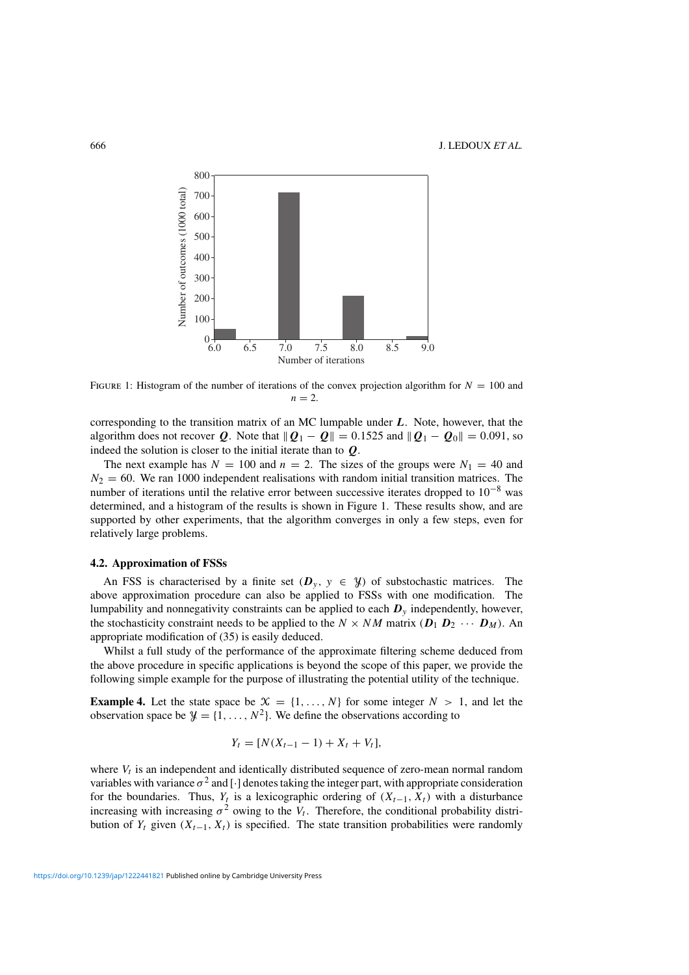

FIGURE 1: Histogram of the number of iterations of the convex projection algorithm for  $N = 100$  and  $n = 2$ 

corresponding to the transition matrix of an MC lumpable under *L*. Note, however, that the algorithm does not recover  $Q$ . Note that  $||Q_1 - Q|| = 0.1525$  and  $||Q_1 - Q_0|| = 0.091$ , so indeed the solution is closer to the initial iterate than to *Q*.

The next example has  $N = 100$  and  $n = 2$ . The sizes of the groups were  $N_1 = 40$  and  $N_2 = 60$ . We ran 1000 independent realisations with random initial transition matrices. The number of iterations until the relative error between successive iterates dropped to  $10^{-8}$  was determined, and a histogram of the results is shown in Figure 1. These results show, and are supported by other experiments, that the algorithm converges in only a few steps, even for relatively large problems.

## **4.2. Approximation of FSSs**

An FSS is characterised by a finite set  $(D_y, y \in \mathcal{Y})$  of substochastic matrices. The above approximation procedure can also be applied to FSSs with one modification. The lumpability and nonnegativity constraints can be applied to each  $D<sub>y</sub>$  independently, however, the stochasticity constraint needs to be applied to the  $N \times NM$  matrix  $(D_1 D_2 \cdots D_M)$ . An appropriate modification of (35) is easily deduced.

Whilst a full study of the performance of the approximate filtering scheme deduced from the above procedure in specific applications is beyond the scope of this paper, we provide the following simple example for the purpose of illustrating the potential utility of the technique.

**Example 4.** Let the state space be  $X = \{1, ..., N\}$  for some integer  $N > 1$ , and let the observation space be  $\mathcal{Y} = \{1, \ldots, N^2\}$ . We define the observations according to

$$
Y_t = [N(X_{t-1} - 1) + X_t + V_t],
$$

where  $V_t$  is an independent and identically distributed sequence of zero-mean normal random variables with variance  $\sigma^2$  and [·] denotes taking the integer part, with appropriate consideration for the boundaries. Thus,  $Y_t$  is a lexicographic ordering of  $(X_{t-1}, X_t)$  with a disturbance increasing with increasing  $\sigma^2$  owing to the  $V_t$ . Therefore, the conditional probability distribution of  $Y_t$  given  $(X_{t-1}, X_t)$  is specified. The state transition probabilities were randomly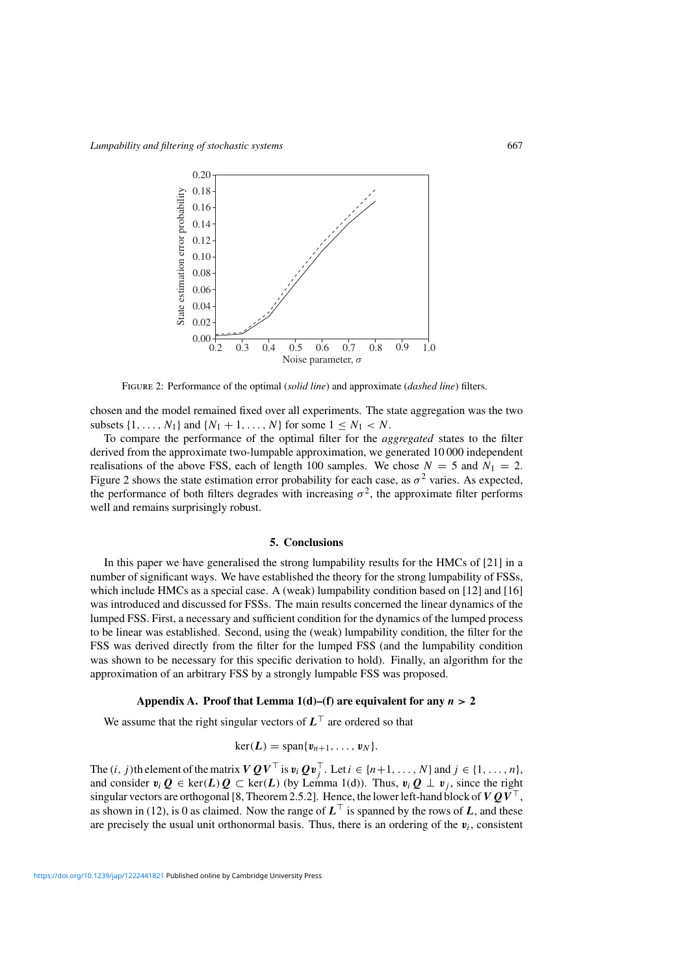

Figure 2: Performance of the optimal (*solid line*) and approximate (*dashed line*) filters.

chosen and the model remained fixed over all experiments. The state aggregation was the two subsets  $\{1, ..., N_1\}$  and  $\{N_1 + 1, ..., N\}$  for some  $1 \leq N_1 < N$ .

To compare the performance of the optimal filter for the *aggregated* states to the filter derived from the approximate two-lumpable approximation, we generated 10 000 independent realisations of the above FSS, each of length 100 samples. We chose  $N = 5$  and  $N_1 = 2$ . Figure 2 shows the state estimation error probability for each case, as  $\sigma^2$  varies. As expected, the performance of both filters degrades with increasing  $\sigma^2$ , the approximate filter performs well and remains surprisingly robust.

## **5. Conclusions**

In this paper we have generalised the strong lumpability results for the HMCs of [21] in a number of significant ways. We have established the theory for the strong lumpability of FSSs, which include HMCs as a special case. A (weak) lumpability condition based on [12] and [16] was introduced and discussed for FSSs. The main results concerned the linear dynamics of the lumped FSS. First, a necessary and sufficient condition for the dynamics of the lumped process to be linear was established. Second, using the (weak) lumpability condition, the filter for the FSS was derived directly from the filter for the lumped FSS (and the lumpability condition was shown to be necessary for this specific derivation to hold). Finally, an algorithm for the approximation of an arbitrary FSS by a strongly lumpable FSS was proposed.

## Appendix A. Proof that Lemma  $1(d)$ –(f) are equivalent for any  $n > 2$

We assume that the right singular vectors of  $L<sup>T</sup>$  are ordered so that

$$
\ker(\mathbf{L})=\mathrm{span}\{\mathbf{v}_{n+1},\ldots,\mathbf{v}_N\}.
$$

The  $(i, j)$ th element of the matrix  $VQV^{\top}$  is  $v_i Qv_j^{\top}$ . Let  $i \in \{n+1, ..., N\}$  and  $j \in \{1, ..., n\}$ , and consider  $v_i Q \in \text{ker}(L) Q \subset \text{ker}(L)$  (by Lemma 1(d)). Thus,  $v_i Q \perp v_j$ , since the right singular vectors are orthogonal [8, Theorem 2.5.2]. Hence, the lower left-hand block of  $VQV^{\top}$ , as shown in (12), is 0 as claimed. Now the range of  $L^{\top}$  is spanned by the rows of *L*, and these are precisely the usual unit orthonormal basis. Thus, there is an ordering of the  $v_i$ , consistent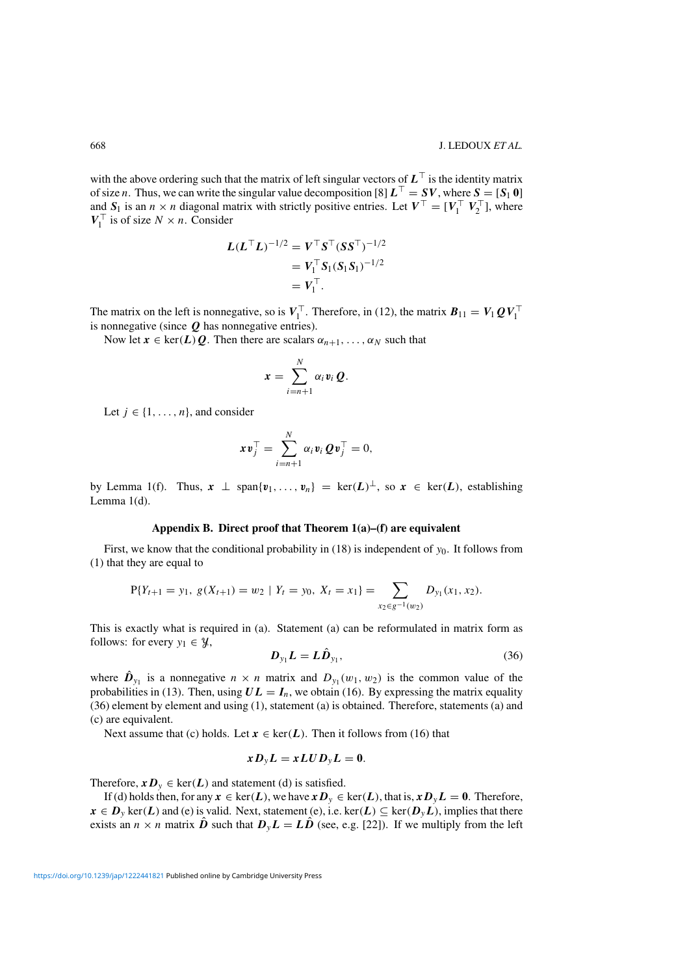with the above ordering such that the matrix of left singular vectors of  $L^{\top}$  is the identity matrix of size *n*. Thus, we can write the singular value decomposition [8]  $L^{\top} = SV$ , where  $S = [S_1 \ 0]$ and  $S_1$  is an  $n \times n$  diagonal matrix with strictly positive entries. Let  $V^{\top} = [V_1^{\top} V_2^{\top}]$ , where  $V_1^{\top}$  is of size  $N \times n$ . Consider

$$
L(LTL)-1/2 = VTST(SST)-1/2
$$
  
=  $V1TS1(S1S1)-1/2$   
=  $V1T$ .

The matrix on the left is nonnegative, so is  $V_1^{\top}$ . Therefore, in (12), the matrix  $B_{11} = V_1 Q V_1^{\top}$ is nonnegative (since *Q* has nonnegative entries).

Now let  $\mathbf{x} \in \text{ker}(L)Q$ . Then there are scalars  $\alpha_{n+1}, \ldots, \alpha_N$  such that

$$
x=\sum_{i=n+1}^N \alpha_i v_i Q.
$$

Let  $j \in \{1, \ldots, n\}$ , and consider

$$
x\mathbf{v}_j^{\top} = \sum_{i=n+1}^N \alpha_i \mathbf{v}_i \, \mathbf{Q} \mathbf{v}_j^{\top} = 0,
$$

by Lemma 1(f). Thus,  $x \perp \text{span}\{v_1,\ldots,v_n\} = \text{ker}(L)^\perp$ , so  $x \in \text{ker}(L)$ , establishing Lemma 1(d).

#### **Appendix B. Direct proof that Theorem 1(a)–(f) are equivalent**

First, we know that the conditional probability in  $(18)$  is independent of  $y_0$ . It follows from (1) that they are equal to

$$
P\{Y_{t+1} = y_1, g(X_{t+1}) = w_2 \mid Y_t = y_0, X_t = x_1\} = \sum_{x_2 \in g^{-1}(w_2)} D_{y_1}(x_1, x_2).
$$

This is exactly what is required in (a). Statement (a) can be reformulated in matrix form as follows: for every  $y_1 \in \mathcal{Y}$ ,

$$
D_{y_1}L = L\hat{D}_{y_1},\tag{36}
$$

where  $\hat{D}_{y_1}$  is a nonnegative  $n \times n$  matrix and  $D_{y_1}(w_1, w_2)$  is the common value of the probabilities in (13). Then, using  $UL = I_n$ , we obtain (16). By expressing the matrix equality (36) element by element and using (1), statement (a) is obtained. Therefore, statements (a) and (c) are equivalent.

Next assume that (c) holds. Let  $x \in \text{ker}(L)$ . Then it follows from (16) that

$$
xD_{y}L=xLUD_{y}L=0.
$$

Therefore,  $xD_y \in \text{ker}(L)$  and statement (d) is satisfied.

If (d) holds then, for any  $x \in \text{ker}(L)$ , we have  $xD_y \in \text{ker}(L)$ , that is,  $xD_yL = 0$ . Therefore,  $x \in D_y$  ker(*L*) and (e) is valid. Next, statement (e), i.e. ker(*L*)  $\subseteq$  ker(*D*<sub>y</sub>*L*), implies that there exists an  $n \times n$  matrix  $\hat{\boldsymbol{D}}$  such that  $\boldsymbol{D}_y \boldsymbol{L} = L \hat{\boldsymbol{D}}$  (see, e.g. [22]). If we multiply from the left